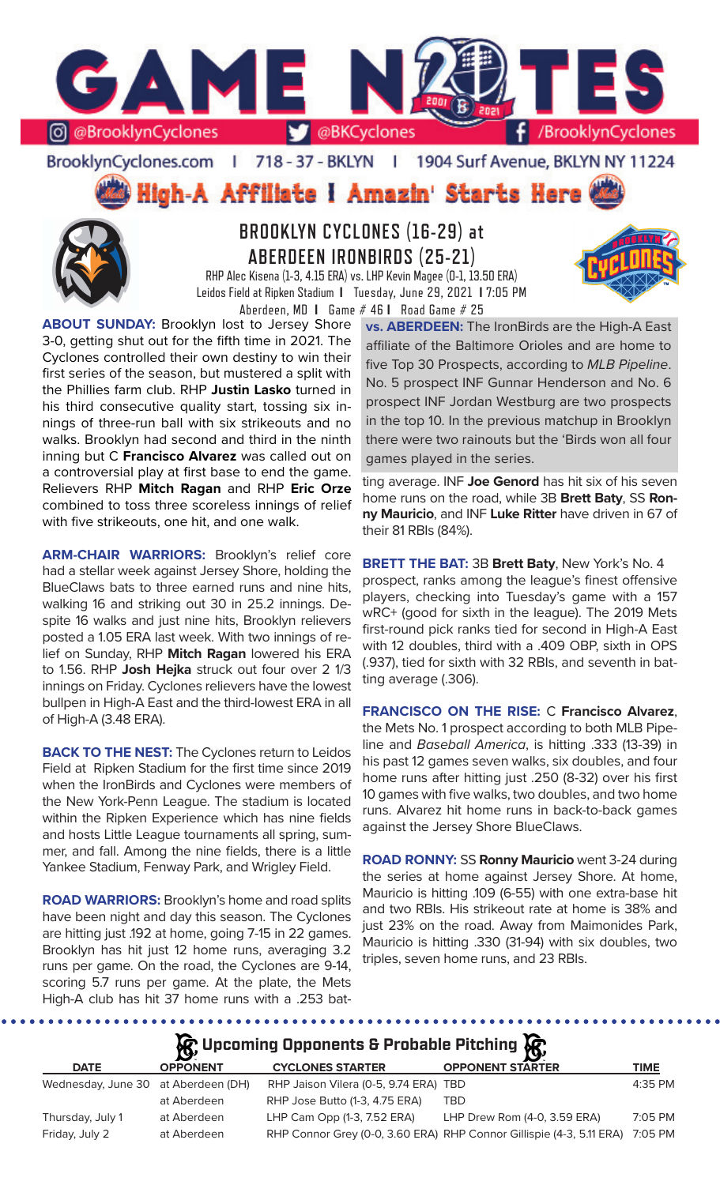

## BrooklynCyclones.com | 718 - 37 - BKLYN | 1904 Surf Avenue, BKLYN NY 11224

**High-A Affiliate I Amazin' Starts Here** 



# **BROOKLYN CYCLONES (16-29) at ABERDEEN IRONBIRDS (25-21)**

RHP Alec Kisena (1-3, 4.15 ERA) vs. LHP Kevin Magee (0-1, 13.50 ERA) Leidos Field at Ripken Stadium **I** Tuesday, June 29, 2021 **I** 7:05 PM Aberdeen, MD **I** Game # 46 **I** Road Game # 25

**ABOUT SUNDAY:** Brooklyn lost to Jersey Shore 3-0, getting shut out for the fifth time in 2021. The Cyclones controlled their own destiny to win their first series of the season, but mustered a split with the Phillies farm club. RHP **Justin Lasko** turned in his third consecutive quality start, tossing six innings of three-run ball with six strikeouts and no walks. Brooklyn had second and third in the ninth inning but C **Francisco Alvarez** was called out on a controversial play at first base to end the game. Relievers RHP **Mitch Ragan** and RHP **Eric Orze**  combined to toss three scoreless innings of relief with five strikeouts, one hit, and one walk.

**ARM-CHAIR WARRIORS:** Brooklyn's relief core had a stellar week against Jersey Shore, holding the BlueClaws bats to three earned runs and nine hits, walking 16 and striking out 30 in 25.2 innings. Despite 16 walks and just nine hits, Brooklyn relievers posted a 1.05 ERA last week. With two innings of relief on Sunday, RHP **Mitch Ragan** lowered his ERA to 1.56. RHP **Josh Hejka** struck out four over 2 1/3 innings on Friday. Cyclones relievers have the lowest bullpen in High-A East and the third-lowest ERA in all of High-A (3.48 ERA).

**BACK TO THE NEST:** The Cyclones return to Leidos Field at Ripken Stadium for the first time since 2019 when the IronBirds and Cyclones were members of the New York-Penn League. The stadium is located within the Ripken Experience which has nine fields and hosts Little League tournaments all spring, summer, and fall. Among the nine fields, there is a little Yankee Stadium, Fenway Park, and Wrigley Field.

**ROAD WARRIORS:** Brooklyn's home and road splits have been night and day this season. The Cyclones are hitting just .192 at home, going 7-15 in 22 games. Brooklyn has hit just 12 home runs, averaging 3.2 runs per game. On the road, the Cyclones are 9-14, scoring 5.7 runs per game. At the plate, the Mets High-A club has hit 37 home runs with a .253 bat**vs. ABERDEEN:** The IronBirds are the High-A East affiliate of the Baltimore Orioles and are home to five Top 30 Prospects, according to *MLB Pipeline*. No. 5 prospect INF Gunnar Henderson and No. 6 prospect INF Jordan Westburg are two prospects in the top 10. In the previous matchup in Brooklyn there were two rainouts but the 'Birds won all four games played in the series.

ting average. INF **Joe Genord** has hit six of his seven home runs on the road, while 3B **Brett Baty**, SS **Ronny Mauricio**, and INF **Luke Ritter** have driven in 67 of their 81 RBIs (84%).

**BRETT THE BAT:** 3B **Brett Baty**, New York's No. 4 prospect, ranks among the league's finest offensive players, checking into Tuesday's game with a 157 wRC+ (good for sixth in the league). The 2019 Mets first-round pick ranks tied for second in High-A East with 12 doubles, third with a .409 OBP, sixth in OPS (.937), tied for sixth with 32 RBIs, and seventh in batting average (.306).

**FRANCISCO ON THE RISE:** C **Francisco Alvarez**, the Mets No. 1 prospect according to both MLB Pipeline and *Baseball America*, is hitting .333 (13-39) in his past 12 games seven walks, six doubles, and four home runs after hitting just .250 (8-32) over his first 10 games with five walks, two doubles, and two home runs. Alvarez hit home runs in back-to-back games against the Jersey Shore BlueClaws.

**ROAD RONNY:** SS **Ronny Mauricio** went 3-24 during the series at home against Jersey Shore. At home, Mauricio is hitting .109 (6-55) with one extra-base hit and two RBIs. His strikeout rate at home is 38% and just 23% on the road. Away from Maimonides Park, Mauricio is hitting .330 (31-94) with six doubles, two triples, seven home runs, and 23 RBIs.

## **Upcoming Opponents & Probable Pitching**

| <b>DATE</b>                         | <b>OPPONENT</b> | <b>CYCLONES STARTER</b>               | ΣУ.<br><b>OPPONENT STARTER</b>                                       | <b>TIME</b> |
|-------------------------------------|-----------------|---------------------------------------|----------------------------------------------------------------------|-------------|
| Wednesday, June 30 at Aberdeen (DH) |                 | RHP Jaison Vilera (0-5, 9.74 ERA) TBD |                                                                      | $4:35$ PM   |
|                                     | at Aberdeen     | RHP Jose Butto (1-3, 4.75 ERA)        | TBD                                                                  |             |
| Thursday, July 1                    | at Aberdeen     | LHP Cam Opp (1-3, 7.52 ERA)           | LHP Drew Rom (4-0, 3.59 ERA)                                         | 7:05 PM     |
| Friday, July 2                      | at Aberdeen     |                                       | RHP Connor Grey (0-0, 3.60 ERA) RHP Connor Gillispie (4-3, 5.11 ERA) | 7:05 PM     |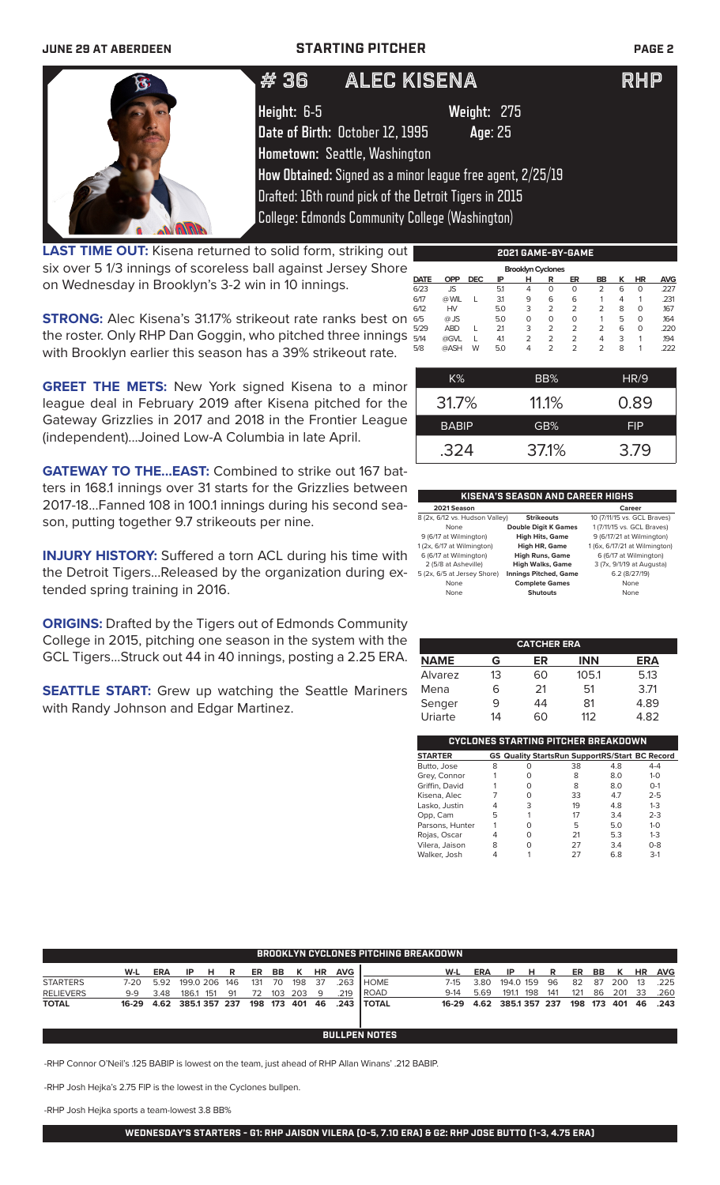### **JUNE 29 AT ABERDEEN STARTING PITCHER PAGE 2**

# 36 ALEC KISENA RHP

**Height:** 6-5 **Weight:** 275 **Date of Birth:** October 12, 1995 **Age**: 25 **Hometown:** Seattle, Washington **How Obtained:** Signed as a minor league free agent, 2/25/19 Drafted: 16th round pick of the Detroit Tigers in 2015

College: Edmonds Community College (Washington)

**LAST TIME OUT:** Kisena returned to solid form, striking out six over 5 1/3 innings of scoreless ball against Jersey Shore on Wednesday in Brooklyn's 3-2 win in 10 innings.

**STRONG:** Alec Kisena's 31.17% strikeout rate ranks best on the roster. Only RHP Dan Goggin, who pitched three innings with Brooklyn earlier this season has a 39% strikeout rate.

|    | <b>DATE</b> | <b>OPP</b> | <b>DEC</b> | IP  | н       | R   | ER             | BB             | к | <b>HR</b> | <b>AVG</b> |
|----|-------------|------------|------------|-----|---------|-----|----------------|----------------|---|-----------|------------|
|    | 6/23        | JS         |            | 5.1 | 4       | 0   | 0              | 2              | 6 | 0         | .227       |
|    | 6/17        | @ WIL      |            | 3.1 | 9       | 6   | 6              |                | 4 | 1         | .231       |
|    | 6/12        | HV         |            | 5.0 | 3       | 2   | $\overline{2}$ | $\overline{2}$ | 8 | O         | .167       |
|    | 6/5         | $@$ JS     |            | 5.0 | $\circ$ | 0   | 0              |                | 5 | O         | .164       |
|    | 5/29        | <b>ABD</b> |            | 2.1 | 3       | 2   | $\overline{2}$ | 2              | 6 | $\Omega$  | .220       |
| ź. | 5/14        | @GVL       |            | 41  | 2       | 2   | $\overline{2}$ | 4              | 3 | 1         | .194       |
|    | 5/8         | @ASH       | W          | 5.0 | 4       | 2   | $\overline{2}$ | 2              | 8 | 1         | .222       |
|    |             |            |            |     |         |     |                |                |   |           |            |
|    |             | KOY        |            |     |         | RR% |                |                |   | HD/O      |            |

**2021 GAME-BY-GAME**

 **Brooklyn Cyclones** 

**GREET THE METS:** New York signed Kisena to a minor league deal in February 2019 after Kisena pitched for the Gateway Grizzlies in 2017 and 2018 in the Frontier League (independent)...Joined Low-A Columbia in late April.

**GATEWAY TO THE...EAST:** Combined to strike out 167 batters in 168.1 innings over 31 starts for the Grizzlies between 2017-18...Fanned 108 in 100.1 innings during his second season, putting together 9.7 strikeouts per nine.

**INJURY HISTORY:** Suffered a torn ACL during his time with the Detroit Tigers...Released by the organization during extended spring training in 2016.

**ORIGINS:** Drafted by the Tigers out of Edmonds Community College in 2015, pitching one season in the system with the GCL Tigers...Struck out 44 in 40 innings, posting a 2.25 ERA.

**SEATTLE START:** Grew up watching the Seattle Mariners with Randy Johnson and Edgar Martinez.

| $K\%$        | BB%   | HR/9       |
|--------------|-------|------------|
| 31.7%        | 11.1% | 0.89       |
| <b>BABIP</b> | GB%   | <b>FIP</b> |
| .324         | 37.1% | 3.79       |
|              |       |            |

## **KISENA'S SEASON AND CAREER HIGHS**

| 2021 Season                    |                              | Career                        |
|--------------------------------|------------------------------|-------------------------------|
| 8 (2x, 6/12 vs. Hudson Valley) | <b>Strikeouts</b>            | 10 (7/11/15 vs. GCL Braves)   |
| None                           | <b>Double Digit K Games</b>  | 1 (7/11/15 vs. GCL Braves)    |
| 9 (6/17 at Wilmington)         | <b>High Hits, Game</b>       | 9 (6/17/21 at Wilmington)     |
| 1 (2x, 6/17 at Wilmington)     | <b>High HR, Game</b>         | 1 (6x, 6/17/21 at Wilmington) |
| 6 (6/17 at Wilmington)         | <b>High Runs, Game</b>       | 6 (6/17 at Wilmington)        |
| 2 (5/8 at Asheville)           | <b>High Walks, Game</b>      | 3 (7x, 9/1/19 at Augusta)     |
| 5 (2x, 6/5 at Jersey Shore)    | <b>Innings Pitched, Game</b> | 6.2(8/27/19)                  |
| None                           | <b>Complete Games</b>        | None                          |
| None                           | <b>Shutouts</b>              | None                          |

| <b>CATCHER ERA</b> |    |    |            |            |  |  |  |  |
|--------------------|----|----|------------|------------|--|--|--|--|
| <b>NAME</b>        | G  | ER | <b>INN</b> | <b>ERA</b> |  |  |  |  |
| Alvarez            | 13 | 60 | 105.1      | 5.13       |  |  |  |  |
| Mena               | ൳  | 21 | 51         | 3.71       |  |  |  |  |
| Senger             | q  | 44 | 81         | 4.89       |  |  |  |  |
| Uriarte            | 14 | 60 | 112        | 4.82       |  |  |  |  |

| CYCLONES STARTING PITCHER BREAKDOWN |   |   |                                                       |     |         |  |  |  |  |
|-------------------------------------|---|---|-------------------------------------------------------|-----|---------|--|--|--|--|
| <b>STARTER</b>                      |   |   | <b>GS Quality StartsRun SupportRS/Start BC Record</b> |     |         |  |  |  |  |
| Butto, Jose                         | 8 | O | 38                                                    | 4.8 | $4 - 4$ |  |  |  |  |
| Grey, Connor                        |   | Ω | 8                                                     | 8.0 | $1 - 0$ |  |  |  |  |
| Griffin, David                      |   | O | 8                                                     | 8.0 | $O-1$   |  |  |  |  |
| Kisena, Alec                        |   | O | 33                                                    | 4.7 | $2 - 5$ |  |  |  |  |
| Lasko, Justin                       |   | 3 | 19                                                    | 4.8 | $1 - 3$ |  |  |  |  |
| Opp, Cam                            | 5 |   | 17                                                    | 3.4 | $2 - 3$ |  |  |  |  |
| Parsons, Hunter                     |   | O | 5                                                     | 5.0 | $1 - 0$ |  |  |  |  |
| Rojas, Oscar                        |   | O | 21                                                    | 5.3 | $1 - 3$ |  |  |  |  |
| Vilera, Jaison                      | 8 | ∩ | 27                                                    | 3.4 | $0 - 8$ |  |  |  |  |
| Walker, Josh                        |   |   | 27                                                    | 6.8 | $3-1$   |  |  |  |  |

| <b>BROOKLYN CYCLONES PITCHING BREAKDOWN</b> |       |            |                    |     |     |     |     |             |           |            |                      |        |            |              |     |     |     |     |     |           |            |
|---------------------------------------------|-------|------------|--------------------|-----|-----|-----|-----|-------------|-----------|------------|----------------------|--------|------------|--------------|-----|-----|-----|-----|-----|-----------|------------|
|                                             | W-L   | <b>ERA</b> | IP                 | н   | R   | ER  | BB  | к           | <b>HR</b> | <b>AVG</b> |                      | W-L    | <b>ERA</b> | IP.          | н   | R   | ER  | BB. | ĸ   | <b>HR</b> | <b>AVG</b> |
| <b>STARTERS</b>                             | 7-20  | 5.92       | 199.0 206          |     | 146 | 131 | -70 | 198         | - 37      | 263        | I HOME               | 7-15   | 3.80       | 194.0 159    |     | 96  | 82  | 87  | 200 | -13       | .225       |
| <b>RELIEVERS</b>                            | $9-9$ | 3.48       | 186.1              | 151 | 91  | 72  | 103 | 203         | - 9       | 219        | <b>ROAD</b>          | $9-14$ | 5.69       | 191.1        | 198 | 141 | 121 | 86  | 201 | -33       | .260       |
| <b>TOTAL</b>                                | 16-29 |            | 4.62 385.1 357 237 |     |     |     |     | 198 173 401 | 46        | .243       | <b>I TOTAL</b>       | 16-29  | 4.62       | 385.1357 237 |     |     | 198 | 173 | 401 | 46        | .243       |
|                                             |       |            |                    |     |     |     |     |             |           |            |                      |        |            |              |     |     |     |     |     |           |            |
|                                             |       |            |                    |     |     |     |     |             |           |            | <b>BULLPEN NOTES</b> |        |            |              |     |     |     |     |     |           |            |

-RHP Connor O'Neil's .125 BABIP is lowest on the team, just ahead of RHP Allan Winans' .212 BABIP.

-RHP Josh Hejka's 2.75 FIP is the lowest in the Cyclones bullpen.

-RHP Josh Hejka sports a team-lowest 3.8 BB%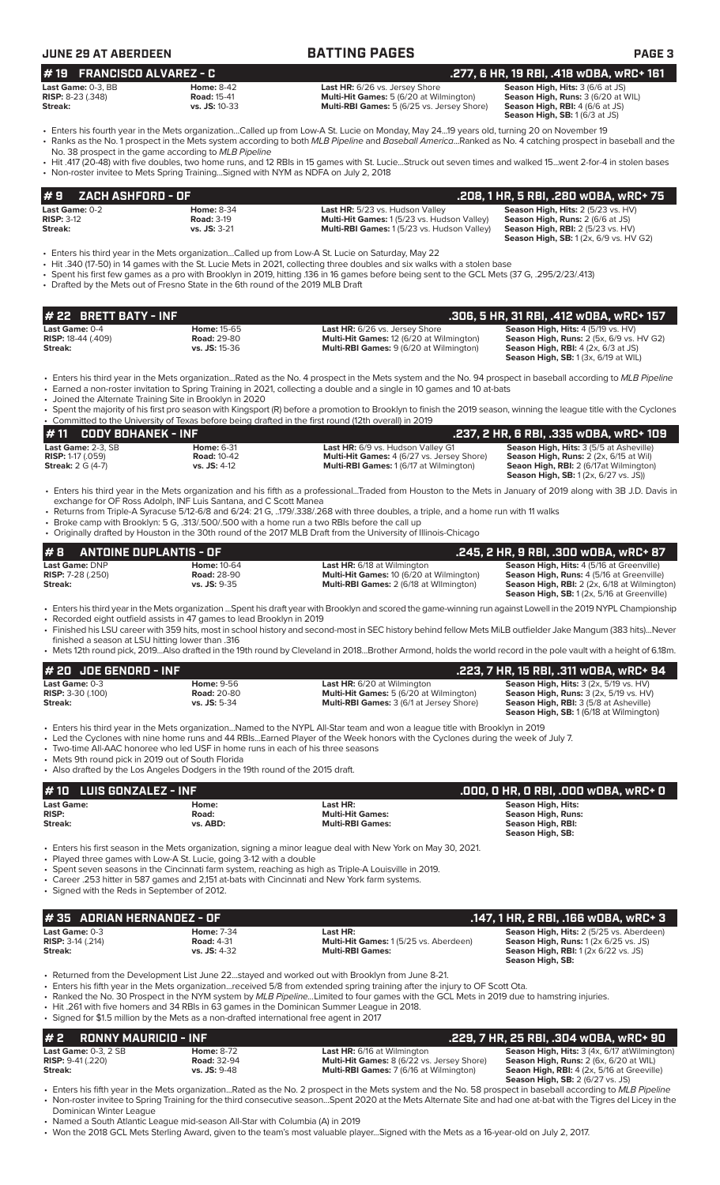| <b>JUNE 29 AT ABERDEEN</b>                                                                                                                                                                                               |                                                          | <b>BATTING PAGES</b>                                                                                                                                                                                                                                                                                                                                                                                                                                                                                                     | <b>PAGE 3</b>                                                                                                                                                                         |
|--------------------------------------------------------------------------------------------------------------------------------------------------------------------------------------------------------------------------|----------------------------------------------------------|--------------------------------------------------------------------------------------------------------------------------------------------------------------------------------------------------------------------------------------------------------------------------------------------------------------------------------------------------------------------------------------------------------------------------------------------------------------------------------------------------------------------------|---------------------------------------------------------------------------------------------------------------------------------------------------------------------------------------|
| <b>FRANCISCO ALVAREZ - C</b><br>#19                                                                                                                                                                                      |                                                          |                                                                                                                                                                                                                                                                                                                                                                                                                                                                                                                          | .277, 6 HR, 19 RBI, .418 wOBA, wRC+ 161                                                                                                                                               |
| Last Game: 0-3. BB<br><b>RISP:</b> 8-23 (.348)<br>Streak:                                                                                                                                                                | <b>Home: 8-42</b><br><b>Road: 15-41</b><br>vs. JS: 10-33 | Last HR: 6/26 vs. Jersey Shore<br>Multi-Hit Games: 5 (6/20 at Wilmington)<br>Multi-RBI Games: 5 (6/25 vs. Jersey Shore)                                                                                                                                                                                                                                                                                                                                                                                                  | Season High, Hits: 3 (6/6 at JS)<br>Season High, Runs: 3 (6/20 at WIL)<br>Season High, RBI: 4 (6/6 at JS)<br>Season High, SB: 1 (6/3 at JS)                                           |
| No. 38 prospect in the game according to MLB Pipeline                                                                                                                                                                    |                                                          | • Enters his fourth year in the Mets organizationCalled up from Low-A St. Lucie on Monday, May 2419 years old, turning 20 on November 19<br>· Ranks as the No. 1 prospect in the Mets system according to both MLB Pipeline and Baseball AmericaRanked as No. 4 catching prospect in baseball and the                                                                                                                                                                                                                    |                                                                                                                                                                                       |
| • Non-roster invitee to Mets Spring TrainingSigned with NYM as NDFA on July 2, 2018                                                                                                                                      |                                                          | · Hit .417 (20-48) with five doubles, two home runs, and 12 RBIs in 15 games with St. LucieStruck out seven times and walked 15went 2-for-4 in stolen bases                                                                                                                                                                                                                                                                                                                                                              |                                                                                                                                                                                       |
| <b>ZACH ASHFORD - OF</b><br>#9                                                                                                                                                                                           |                                                          |                                                                                                                                                                                                                                                                                                                                                                                                                                                                                                                          | .208, 1 HR, 5 RBI, .280 w0BA, wRC+ 75                                                                                                                                                 |
| Last Game: 0-2<br><b>RISP: 3-12</b><br><b>Streak:</b>                                                                                                                                                                    | <b>Home: 8-34</b><br><b>Road: 3-19</b><br>vs. JS: 3-21   | Last HR: 5/23 vs. Hudson Valley<br>Multi-Hit Games: 1 (5/23 vs. Hudson Valley)<br>Multi-RBI Games: 1(5/23 vs. Hudson Valley)                                                                                                                                                                                                                                                                                                                                                                                             | Season High, Hits: 2 (5/23 vs. HV)<br>Season High, Runs: 2 (6/6 at JS)<br><b>Season High, RBI: 2 (5/23 vs. HV)</b><br><b>Season High, SB:</b> 1 (2x, 6/9 vs. HV G2)                   |
| • Drafted by the Mets out of Fresno State in the 6th round of the 2019 MLB Draft                                                                                                                                         |                                                          | Enters his third year in the Mets organizationCalled up from Low-A St. Lucie on Saturday, May 22<br>• Hit .340 (17-50) in 14 games with the St. Lucie Mets in 2021, collecting three doubles and six walks with a stolen base<br>• Spent his first few games as a pro with Brooklyn in 2019, hitting .136 in 16 games before being sent to the GCL Mets (37 G, .295/2/23/.413)                                                                                                                                           |                                                                                                                                                                                       |
| # 22 BRETT BATY - INF                                                                                                                                                                                                    |                                                          |                                                                                                                                                                                                                                                                                                                                                                                                                                                                                                                          | .306, 5 HR, 31 RBI, .412 WOBA, WRC+ 157                                                                                                                                               |
| Last Game: 0-4<br><b>RISP:</b> 18-44 (.409)<br>Streak:                                                                                                                                                                   | Home: 15-65<br><b>Road: 29-80</b><br>vs. JS: 15-36       | Last HR: 6/26 vs. Jersey Shore<br>Multi-Hit Games: 12 (6/20 at Wilmington)<br>Multi-RBI Games: 9 (6/20 at Wilmington)                                                                                                                                                                                                                                                                                                                                                                                                    | Season High, Hits: 4 (5/19 vs. HV)<br>Season High, Runs: 2 (5x, 6/9 vs. HV G2)<br><b>Season High, RBI:</b> $4$ (2x, $6/3$ at JS)<br><b>Season High, SB:</b> 1 (3x, 6/19 at WIL)       |
| • Joined the Alternate Training Site in Brooklyn in 2020                                                                                                                                                                 |                                                          | • Enters his third year in the Mets organizationRated as the No. 4 prospect in the Mets system and the No. 94 prospect in baseball according to MLB Pipeline<br>• Earned a non-roster invitation to Spring Training in 2021, collecting a double and a single in 10 games and 10 at-bats                                                                                                                                                                                                                                 |                                                                                                                                                                                       |
|                                                                                                                                                                                                                          |                                                          | • Spent the majority of his first pro season with Kingsport (R) before a promotion to Brooklyn to finish the 2019 season, winning the league title with the Cyclones<br>• Committed to the University of Texas before being drafted in the first round (12th overall) in 2019                                                                                                                                                                                                                                            |                                                                                                                                                                                       |
| #11<br><b>CODY BOHANEK - INF</b>                                                                                                                                                                                         |                                                          |                                                                                                                                                                                                                                                                                                                                                                                                                                                                                                                          | .237, 2 HR, 6 RBI, .335 wOBA, wRC+ 109                                                                                                                                                |
| Last Game: 2-3, SB<br><b>RISP: 1-17 (.059)</b><br><b>Streak: 2 G (4-7)</b>                                                                                                                                               | Home: 6-31<br><b>Road: 10-42</b><br>vs. JS: 4-12         | Last HR: 6/9 vs. Hudson Valley G1<br>Multi-Hit Games: 4 (6/27 vs. Jersey Shore)<br><b>Multi-RBI Games: 1 (6/17 at Wilmington)</b>                                                                                                                                                                                                                                                                                                                                                                                        | Season High, Hits: 3 (5/5 at Asheville)<br>Season High, Runs: 2 (2x, 6/15 at Wil)<br>Seaon High, RBI: 2 (6/17at Wilmington)<br><b>Season High, SB:</b> 1 (2x, 6/27 vs. JS))           |
| exchange for OF Ross Adolph, INF Luis Santana, and C Scott Manea                                                                                                                                                         |                                                          | • Enters his third year in the Mets organization and his fifth as a professionalTraded from Houston to the Mets in January of 2019 along with 3B J.D. Davis in<br>• Returns from Triple-A Syracuse 5/12-6/8 and 6/24: 21 G, 179/.338/.268 with three doubles, a triple, and a home run with 11 walks<br>• Broke camp with Brooklyn: 5 G, .313/.500/.500 with a home run a two RBIs before the call up<br>• Originally drafted by Houston in the 30th round of the 2017 MLB Draft from the University of Illinois-Chicago |                                                                                                                                                                                       |
| <b>ANTOINE DUPLANTIS - OF</b><br>#8                                                                                                                                                                                      |                                                          |                                                                                                                                                                                                                                                                                                                                                                                                                                                                                                                          | .245, 2 HR, 9 RBI, .300 WOBA, WRC+ 87                                                                                                                                                 |
| Last Game: DNP<br>RISP: 7-28 (.250)<br>Streak:                                                                                                                                                                           | <b>Home: 10-64</b><br><b>Road: 28-90</b><br>vs. JS: 9-35 | Last HR: 6/18 at Wilmington<br>Multi-Hit Games: 10 (6/20 at Wilmington)<br>Multi-RBI Games: 2 (6/18 at Wilmington)                                                                                                                                                                                                                                                                                                                                                                                                       | Season High, Hits: 4 (5/16 at Greenville)<br>Season High, Runs: 4 (5/16 at Greenville)<br>Season High, RBI: 2 (2x, 6/18 at Wilmington)<br>Season High, SB: 1 (2x, 5/16 at Greenville) |
| • Recorded eight outfield assists in 47 games to lead Brooklyn in 2019                                                                                                                                                   |                                                          | · Enters his third year in the Mets organization Spent his draft year with Brooklyn and scored the game-winning run against Lowell in the 2019 NYPL Championship<br>• Finished his LSU career with 359 hits, most in school history and second-most in SEC history behind fellow Mets MiLB outfielder Jake Mangum (383 hits)Never                                                                                                                                                                                        |                                                                                                                                                                                       |
| finished a season at LSU hitting lower than .316                                                                                                                                                                         |                                                          | • Mets 12th round pick, 2019Also drafted in the 19th round by Cleveland in 2018Brother Armond, holds the world record in the pole vault with a height of 6.18m.                                                                                                                                                                                                                                                                                                                                                          |                                                                                                                                                                                       |
| # 20 JOE GENORD - INF                                                                                                                                                                                                    |                                                          |                                                                                                                                                                                                                                                                                                                                                                                                                                                                                                                          | .223, 7 HR, 15 RBI, .311 wOBA, wRC+ 94                                                                                                                                                |
| Last Game: 0-3<br><b>RISP: 3-30 (.100)</b><br>Streak:                                                                                                                                                                    | <b>Home: 9-56</b><br><b>Road: 20-80</b><br>vs. JS: 5-34  | <b>Last HR:</b> 6/20 at Wilmington<br>Multi-Hit Games: 5 (6/20 at Wilmington)<br>Multi-RBI Games: 3 (6/1 at Jersey Shore)                                                                                                                                                                                                                                                                                                                                                                                                | Season High, Hits: 3 (2x, 5/19 vs. HV)<br>Season High, Runs: 3 (2x, 5/19 vs. HV)<br>Season High, RBI: 3 (5/8 at Asheville)<br>Season High, SB: 1 (6/18 at Wilmington)                 |
| • Two-time All-AAC honoree who led USF in home runs in each of his three seasons<br>• Mets 9th round pick in 2019 out of South Florida<br>• Also drafted by the Los Angeles Dodgers in the 19th round of the 2015 draft. |                                                          | • Enters his third year in the Mets organizationNamed to the NYPL All-Star team and won a league title with Brooklyn in 2019<br>• Led the Cyclones with nine home runs and 44 RBIsEarned Player of the Week honors with the Cyclones during the week of July 7.                                                                                                                                                                                                                                                          |                                                                                                                                                                                       |
| <b>LUIS GONZALEZ - INF</b><br>#10                                                                                                                                                                                        |                                                          |                                                                                                                                                                                                                                                                                                                                                                                                                                                                                                                          | .000, 0 HR, 0 RBI, .000 WOBA, WRC+ 0                                                                                                                                                  |
| <b>Last Game:</b><br><b>RISP:</b><br>Streak:                                                                                                                                                                             | Home:<br>Road:<br>vs. ABD:                               | Last HR:<br><b>Multi-Hit Games:</b><br><b>Multi-RBI Games:</b>                                                                                                                                                                                                                                                                                                                                                                                                                                                           | <b>Season High, Hits:</b><br><b>Season High, Runs:</b><br>Season High, RBI:<br>Season High, SB:                                                                                       |
| • Played three games with Low-A St. Lucie, going 3-12 with a double<br>• Signed with the Reds in September of 2012.                                                                                                      |                                                          | • Enters his first season in the Mets organization, signing a minor league deal with New York on May 30, 2021.<br>• Spent seven seasons in the Cincinnati farm system, reaching as high as Triple-A Louisville in 2019.<br>• Career .253 hitter in 587 games and 2,151 at-bats with Cincinnati and New York farm systems.                                                                                                                                                                                                |                                                                                                                                                                                       |
| #35 ADRIAN HERNANDEZ - OF                                                                                                                                                                                                |                                                          |                                                                                                                                                                                                                                                                                                                                                                                                                                                                                                                          | .147, 1 HR, 2 RBI, .166 wOBA, wRC+ 3                                                                                                                                                  |
| Last Game: 0-3<br><b>RISP: 3-14 (.214)</b><br>Streak:                                                                                                                                                                    | <b>Home: 7-34</b><br><b>Road: 4-31</b><br>vs. JS: 4-32   | Last HR:<br>Multi-Hit Games: 1 (5/25 vs. Aberdeen)<br><b>Multi-RBI Games:</b>                                                                                                                                                                                                                                                                                                                                                                                                                                            | Season High, Hits: 2 (5/25 vs. Aberdeen)<br>Season High, Runs: 1 (2x 6/25 vs. JS)<br><b>Season High, RBI:</b> 1 (2x 6/22 vs. JS)<br>Season High, SB:                                  |
| • Signed for \$1.5 million by the Mets as a non-drafted international free agent in 2017                                                                                                                                 |                                                          | • Returned from the Development List June 22stayed and worked out with Brooklyn from June 8-21.<br>• Enters his fifth year in the Mets organizationreceived 5/8 from extended spring training after the injury to OF Scott Ota.<br>• Ranked the No. 30 Prospect in the NYM system by MLB PipelineLimited to four games with the GCL Mets in 2019 due to hamstring injuries.<br>• Hit .261 with five homers and 34 RBIs in 63 games in the Dominican Summer League in 2018.                                               |                                                                                                                                                                                       |

### **# 2 RONNY MAURICIO - INF .229, 7 HR, 25 RBI, .304 wOBA, wRC+ 90 Last Game:** 0-3, 2 SB **Home:** 8-72 **Last HR:** 6/16 at Wilmington **Season High, Hits:** 3 (4x, 6/17 atWilmington) **RISP:** 9-41 (.220) **Road:** 32-94 **Multi-Hit Games:** 8 (6/22 vs. Jersey Shore) **Season High, Runs:** 2 (6x, 6/20 at WIL) **Streak: vs. JS:** 9-48 **Multi-RBI Games:** 7 (6/16 at Wilmington) **Seaon High, RBI:** 4 (2x, 5/16 at Greeville) **Season High, SB:** 2 (6/27 vs. JS)

• Enters his fifth year in the Mets organization...Rated as the No. 2 prospect in the Mets system and the No. 58 prospect in baseball according to *MLB Pipeline* • Non-roster invitee to Spring Training for the third consecutive season...Spent 2020 at the Mets Alternate Site and had one at-bat with the Tigres del Licey in the Dominican Winter League

• Named a South Atlantic League mid-season All-Star with Columbia (A) in 2019

• Won the 2018 GCL Mets Sterling Award, given to the team's most valuable player...Signed with the Mets as a 16-year-old on July 2, 2017.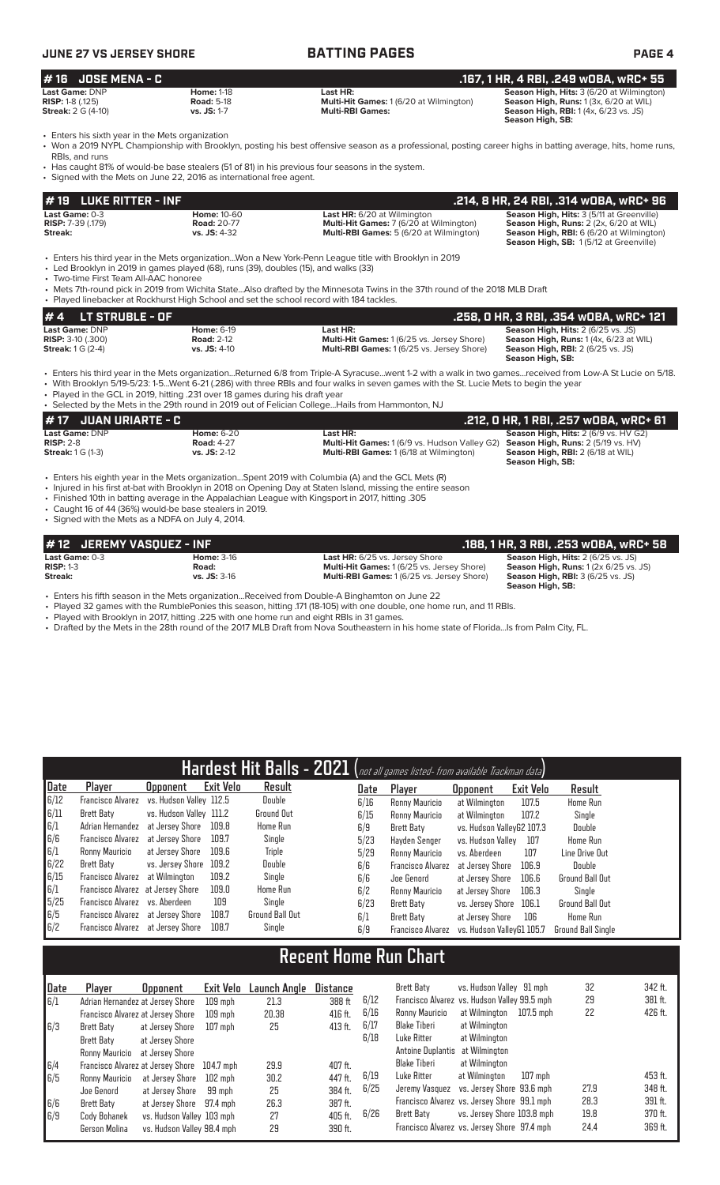| JUNE 27 VS JERSEY SHORE   |                   | <b>BATTING PAGES</b>                           | <b>PAGE 4</b>                                    |
|---------------------------|-------------------|------------------------------------------------|--------------------------------------------------|
| $#$ 16 JOSE MENA - C      |                   |                                                | . .167. 1 HR. 4 RBI. .249 wOBA. wRC+ 55'         |
| <b>Last Game:</b> DNP     | <b>Home: 1-18</b> | Last HR:                                       | <b>Season High, Hits: 3 (6/20 at Wilmington)</b> |
| <b>RISP:</b> 1-8 (.125)   | <b>Road: 5-18</b> | <b>Multi-Hit Games: 1 (6/20 at Wilmington)</b> | Season High, Runs: 1 (3x, 6/20 at WIL)           |
| <b>Streak:</b> 2 G (4-10) | vs. JS: 1-7       | <b>Multi-RBI Games:</b>                        | <b>Season High, RBI:</b> 1(4x, 6/23 vs. JS)      |

• Enters his sixth year in the Mets organization

• Won a 2019 NYPL Championship with Brooklyn, posting his best offensive season as a professional, posting career highs in batting average, hits, home runs, RBIs, and runs

**Season High, SB:** 

**Season High, SB:** 1 (5/12 at Greenville)

• Has caught 81% of would-be base stealers (51 of 81) in his previous four seasons in the system.

**# 19 LUKE RITTER - INF .214, 8 HR, 24 RBI, .314 wOBA, wRC+ 96 Last Game:** 0-3 **Home:** 10-60 **Last HR:** 6/20 at Wilmington **Season High, Hits:** 3 (5/11 at Greenville) **RISP:** 7-39 (.179) **Road: 20-77 <b>Road: 20-77 Multi-Hit Games: 7** (6/20 at Wilmington) **Streak: S** (6/20 at Wilmington) **Streak: Multi-RBI Games: 5** (6/20 at Wilmington) **Streak: vs. JS:** 4-32 **Multi-RBI Games:** 5 (6/20 at Wilmington) **Season High, RBI:** 6 (6/20 at Wilmington) Signed with the Mets on June 22, 2016 as international free agent.

• Enters his third year in the Mets organization...Won a New York-Penn League title with Brooklyn in 2019

• Led Brooklyn in 2019 in games played (68), runs (39), doubles (15), and walks (33)

• Two-time First Team All-AAC honoree

• Mets 7th-round pick in 2019 from Wichita State...Also drafted by the Minnesota Twins in the 37th round of the 2018 MLB Draft Played linebacker at Rockhurst High School and set the school record with 184 tackles.

| $# 4$ LT STRUBLE - OF                        |                                        |                                                               | .258, 0 HR, 3 RBI, .354 w0BA, wRC+ 121                                                      |
|----------------------------------------------|----------------------------------------|---------------------------------------------------------------|---------------------------------------------------------------------------------------------|
| Last Game: DNP<br><b>RISP:</b> $3-10$ (.300) | <b>Home: 6-19</b><br><b>Road: 2-12</b> | Last HR:<br><b>Multi-Hit Games: 1 (6/25 vs. Jersey Shore)</b> | <b>Season High, Hits: 2 (6/25 vs. JS)</b><br><b>Season High, Runs:</b> $1(4x, 6/23$ at WIL) |
| <b>Streak:</b> $1 G (2-4)$                   | <b>vs. JS: 4-10</b>                    | <b>Multi-RBI Games: 1 (6/25 vs. Jersey Shore)</b>             | <b>Season High, RBI:</b> 2 (6/25 vs. JS)<br>Season High, SB:                                |
|                                              |                                        |                                                               |                                                                                             |

• Enters his third year in the Mets organization...Returned 6/8 from Triple-A Syracuse...went 1-2 with a walk in two games...received from Low-A St Lucie on 5/18. • With Brooklyn 5/19-5/23: 1-5...Went 6-21 (.286) with three RBIs and four walks in seven games with the St. Lucie Mets to begin the year

• Played in the GCL in 2019, hitting .231 over 18 games during his draft year • Selected by the Mets in the 29th round in 2019 out of Felician College...Hails from Hammonton, NJ

| # 17   JUAN URIARTE - C                                          |                                                            |                                                                                                                    | .212, 0 HR, 1 RBI, .257 w0BA, wRC+ 61                                                                                                                    |
|------------------------------------------------------------------|------------------------------------------------------------|--------------------------------------------------------------------------------------------------------------------|----------------------------------------------------------------------------------------------------------------------------------------------------------|
| <b>Last Game: DNP</b><br>$RISP: 2-8$<br><b>Streak:</b> 1 G (1-3) | <b>Home: 6-20</b><br><b>Road: 4-27</b><br>$vs.$ JS: $2-12$ | Last HR:<br><b>Multi-Hit Games:</b> 1 (6/9 vs. Hudson Valley G2)<br><b>Multi-RBI Games: 1 (6/18 at Wilmington)</b> | <b>Season High, Hits: 2 (6/9 vs. HV G2)</b><br><b>Season High, Runs: 2 (5/19 vs. HV)</b><br><b>Season High, RBI:</b> 2 (6/18 at WIL)<br>Season High, SB: |

• Enters his eighth year in the Mets organization...Spent 2019 with Columbia (A) and the GCL Mets (R)

- Injured in his first at-bat with Brooklyn in 2018 on Opening Day at Staten Island, missing the entire season • Finished 10th in batting average in the Appalachian League with Kingsport in 2017, hitting .305
- Caught 16 of 44 (36%) would-be base stealers in 2019.

• Signed with the Mets as a NDFA on July 4, 2014.

| #12 JEREMY VASOUEZ - INF      |                            |                                                                                           | . .188, 1 HR, 3 RBI, .253 wOBA, wRC+ 581                                                           |
|-------------------------------|----------------------------|-------------------------------------------------------------------------------------------|----------------------------------------------------------------------------------------------------|
| Last Game: 0-3<br>$RISP: 1-3$ | <b>Home: 3-16</b><br>Road: | <b>Last HR:</b> 6/25 vs. Jersey Shore<br><b>Multi-Hit Games: 1(6/25 vs. Jersey Shore)</b> | <b>Season High, Hits: 2 (6/25 vs. JS)</b><br><b>Season High, Runs:</b> $1(2x 6/25 \text{ vs. JS})$ |
| Streak:                       | $vs.$ JS: $3-16$           | <b>Multi-RBI Games: 1(6/25 vs. Jersey Shore)</b>                                          | <b>Season High, RBI:</b> 3 (6/25 vs. JS)<br>Season High, SB:                                       |

• Enters his fifth season in the Mets organization...Received from Double-A Binghamton on June 22

• Played 32 games with the RumblePonies this season, hitting .171 (18-105) with one double, one home run, and 11 RBIs.

• Played with Brooklyn in 2017, hitting .225 with one home run and eight RBIs in 31 games.

• Drafted by the Mets in the 28th round of the 2017 MLB Draft from Nova Southeastern in his home state of Florida...Is from Palm City, FL.

|      |                                   |                         |           |                        |      | Hardest Hit Balls - 2021 (not all games listed- from available Trackman data) |                           |           |                           |
|------|-----------------------------------|-------------------------|-----------|------------------------|------|-------------------------------------------------------------------------------|---------------------------|-----------|---------------------------|
| Date | Player                            | Upponent                | Exit Velo | Result                 | Date | Player                                                                        | <b>Opponent</b>           | Exit Velo | Result                    |
| 6/12 | Francisco Alvarez                 | vs. Hudson Valley 112.5 |           | Double                 | 6/16 | Ronny Mauricio                                                                | at Wilmington             | 107.5     | Home Run                  |
| 6/11 | <b>Brett Baty</b>                 | vs. Hudson Valley 111.2 |           | <b>Ground Out</b>      | 6/15 | Ronny Mauricio                                                                | at Wilmington             | 107.2     | Single                    |
| 6/1  | Adrian Hernandez                  | at Jersev Shore         | 109.8     | <b>Home Run</b>        | 6/9  | Brett Baty                                                                    | vs. Hudson VallevG2 107.3 |           | Double                    |
| 6/6  | Francisco Alvarez at Jersey Shore |                         | 109.7     | Single                 | 5/23 | Havden Senger                                                                 | vs. Hudson Vallev         | 107       | <b>Home Run</b>           |
| 6/1  | Ronny Mauricio                    | at Jersey Shore         | 109.6     | <b>Triple</b>          | 5/29 | Ronny Mauricio                                                                | vs. Aberdeen              | 107       | Line Drive Out            |
| 6/22 | Brett Baty                        | vs. Jersev Shore        | 109.2     | Double                 | 6/6  | <b>Francisco Alvarez</b>                                                      | at Jersev Shore           | 106.9     | Double                    |
| 6/15 | Francisco Alvarez                 | at Wilmington           | 109.2     | Single                 | 6/6  | Joe Genord                                                                    | at Jersev Shore           | 106.6     | <b>Ground Ball Out</b>    |
| 6/1  | Francisco Alvarez at Jersey Shore |                         | 109.0     | Home Run               | 6/2  | Ronny Mauricio                                                                | at Jersey Shore           | 106.3     | Single                    |
| 5/25 | Francisco Alvarez                 | vs. Aberdeen            | 109       | Sinale                 | 6/23 | Brett Baty                                                                    | vs. Jersey Shore          | 106.1     | <b>Ground Ball Out</b>    |
| 6/5  | Francisco Alvarez at Jersey Shore |                         | 108.7     | <b>Ground Ball Out</b> | 6/1  | Brett Baty                                                                    | at Jersev Shore           | 106       | <b>Home Run</b>           |
| 6/2  | Francisco Alvarez at Jersey Shore |                         | 108.7     | Single                 | 6/9  | <b>Francisco Alvarez</b>                                                      | vs. Hudson VallevG1 105.7 |           | <b>Ground Ball Single</b> |

# **Recent Home Run Chart**

| Date         | Plaver         | <b>Opponent</b>                   | Exit Velo | Launch Anole | Distance |      | <b>Brett Baty</b>               | vs. Hudson Valley 91 mph                     |           | 32   | 342 ft. |
|--------------|----------------|-----------------------------------|-----------|--------------|----------|------|---------------------------------|----------------------------------------------|-----------|------|---------|
| $\sqrt{6/1}$ |                | Adrian Hernandez at Jersey Shore  | $109$ mph | 21.3         | 388 ft   | 6/12 |                                 | Francisco Alvarez vs. Hudson Valley 99.5 mph |           | 29   | 381 ft. |
|              |                | Francisco Alvarez at Jersey Shore | $109$ mph | 20.38        | 416 ft.  | 6/16 | Ronny Mauricio                  | at Wilmington                                | 107.5 mph | 22   | 426 ft. |
| 6/3          | Brett Baty     | at Jersev Shore                   | $107$ mph | 25           | 413 ft.  | 6/17 | Blake Tiberi                    | at Wilmington                                |           |      |         |
|              | Brett Baty     | at Jersey Shore                   |           |              |          | 6/18 | Luke Ritter                     | at Wilmington                                |           |      |         |
|              | Ronny Mauricio | at Jersev Shore                   |           |              |          |      | Antoine Duplantis at Wilmington |                                              |           |      |         |
| 6/4          |                | Francisco Alvarez at Jersey Shore | 104.7 mph | 29.9         | 407 ft.  |      | <b>Blake Tiberi</b>             | at Wilmington                                |           |      |         |
| 6/5          | Ronny Mauricio | at Jersey Shore                   | 102 mph   | 30.2         | 447 ft.  | 6/19 | Luke Ritter                     | at Wilmington                                | $107$ mph |      | 453 ft. |
|              | Joe Genord     | at Jersev Shore                   | 99 mph    | 25           | 384 ft.  | 6/25 |                                 | Jeremy Vasquez vs. Jersey Shore 93.6 mph     |           | 27.9 | 348 ft. |
| 6/6          | Brett Baty     | at Jersey Shore 97.4 mph          |           | 26.3         | 387 ft.  |      |                                 | Francisco Alvarez vs. Jersey Shore 99.1 mph  |           | 28.3 | 391 ft. |
| 6/9          | Cody Bohanek   | vs. Hudson Valley 103 mph         |           | 27           | 405 ft.  | 6/26 | Brett Baty                      | vs. Jersey Shore 103.8 mph                   |           | 19.8 | 370 ft. |
|              | Gerson Molina  | vs. Hudson Valley 98.4 mph        |           | 29           | 390 ft.  |      |                                 | Francisco Alvarez vs. Jersey Shore 97.4 mph  |           | 24.4 | 369 ft. |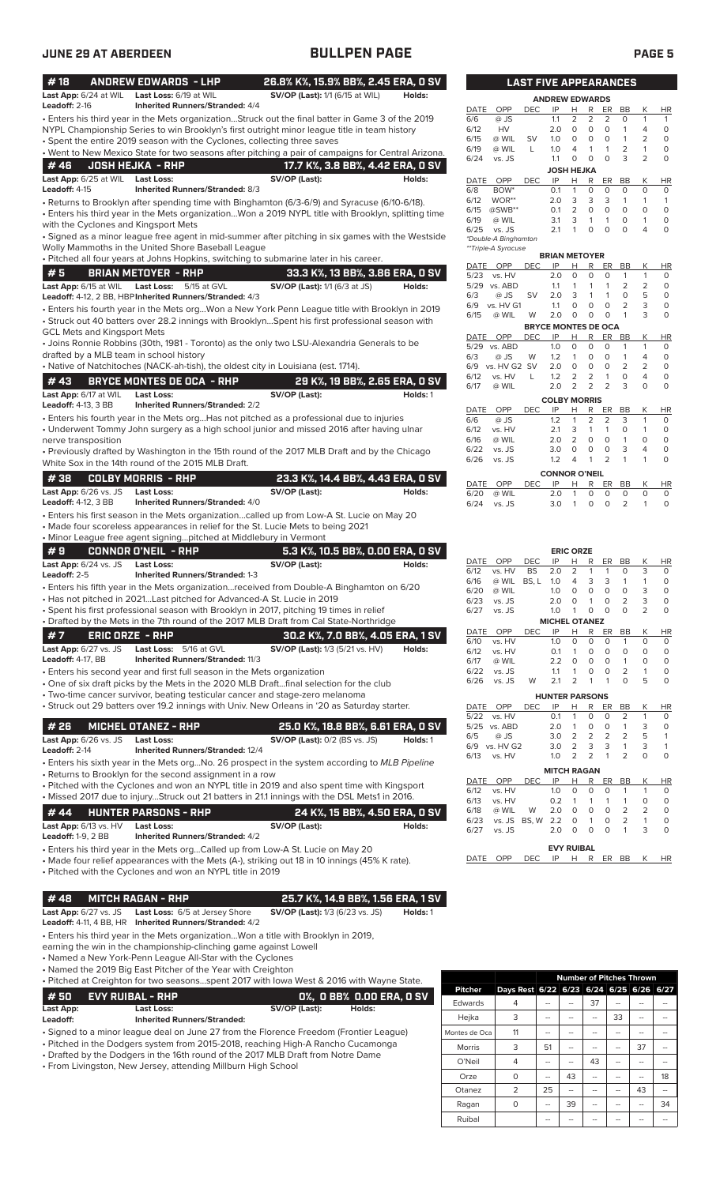| #18                                          | <b>ANDREW EDWARDS - LHP</b>                                                                                                    | 26.8% K%, 15.9% BB%, 2.45 ERA, 0 SV                                                                                                                                                                  |
|----------------------------------------------|--------------------------------------------------------------------------------------------------------------------------------|------------------------------------------------------------------------------------------------------------------------------------------------------------------------------------------------------|
| Last App: 6/24 at WIL<br>Leadoff: 2-16       | Last Loss: 6/19 at WIL<br><b>Inherited Runners/Stranded: 4/4</b>                                                               | <b>SV/OP (Last):</b> 1/1 (6/15 at WIL)<br>Holds:                                                                                                                                                     |
|                                              |                                                                                                                                | . Enters his third year in the Mets organizationStruck out the final batter in Game 3 of the 2019<br>NYPL Championship Series to win Brooklyn's first outright minor league title in team history    |
|                                              | • Spent the entire 2019 season with the Cyclones, collecting three saves                                                       |                                                                                                                                                                                                      |
| #46                                          | <b>JOSH HEJKA - RHP</b>                                                                                                        | . Went to New Mexico State for two seasons after pitching a pair of campaigns for Central Arizona.<br>17.7 K%, 3.8 BB%, 4.42 ERA, 0 SV                                                               |
| Last App: 6/25 at WIL<br>Leadoff: 4-15       | Last Loss:<br>Inherited Runners/Stranded: 8/3                                                                                  | SV/OP (Last):<br>Holds:                                                                                                                                                                              |
|                                              |                                                                                                                                | • Returns to Brooklyn after spending time with Binghamton (6/3-6/9) and Syracuse (6/10-6/18).<br>. Enters his third year in the Mets organizationWon a 2019 NYPL title with Brooklyn, splitting time |
| with the Cyclones and Kingsport Mets         |                                                                                                                                | · Signed as a minor league free agent in mid-summer after pitching in six games with the Westside                                                                                                    |
|                                              | Wolly Mammoths in the United Shore Baseball League                                                                             |                                                                                                                                                                                                      |
| #5                                           | <b>BRIAN METOYER - RHP</b>                                                                                                     | . Pitched all four years at Johns Hopkins, switching to submarine later in his career.<br>33.3 K%, 13 BB%, 3.86 ERA, 0 SV                                                                            |
| Last App: 6/15 at WIL                        | <b>Last Loss:</b><br>5/15 at GVL                                                                                               | <b>SV/OP (Last):</b> 1/1 (6/3 at JS)<br>Holds:                                                                                                                                                       |
|                                              | Leadoff: 4-12, 2 BB, HBP Inherited Runners/Stranded: 4/3                                                                       |                                                                                                                                                                                                      |
| <b>GCL Mets and Kingsport Mets</b>           |                                                                                                                                | . Enters his fourth year in the Mets orgWon a New York Penn League title with Brooklyn in 2019<br>• Struck out 40 batters over 28.2 innings with BrooklynSpent his first professional season with    |
| drafted by a MLB team in school history      |                                                                                                                                | • Joins Ronnie Robbins (30th, 1981 - Toronto) as the only two LSU-Alexandria Generals to be                                                                                                          |
|                                              | • Native of Natchitoches (NACK-ah-tish), the oldest city in Louisiana (est. 1714).                                             |                                                                                                                                                                                                      |
| #43                                          | <b>BRYCE MONTES DE OCA - RHP</b>                                                                                               | 29 K%, 19 BB%, 2.65 ERA, 0 SV                                                                                                                                                                        |
| Last App: 6/17 at WIL<br>Leadoff: 4-13, 3 BB | Last Loss:<br><b>Inherited Runners/Stranded: 2/2</b>                                                                           | SV/OP (Last):<br>Holds: 1                                                                                                                                                                            |
|                                              |                                                                                                                                | • Enters his fourth year in the Mets orgHas not pitched as a professional due to injuries<br>• Underwent Tommy John surgery as a high school junior and missed 2016 after having ulnar               |
| nerve transposition                          |                                                                                                                                | • Previously drafted by Washington in the 15th round of the 2017 MLB Draft and by the Chicago                                                                                                        |
| #38                                          | White Sox in the 14th round of the 2015 MLB Draft.<br><b>COLBY MORRIS - RHP</b>                                                | 23.3 K%, 14.4 BB%, 4.43 ERA, 0 SV                                                                                                                                                                    |
| Last App: 6/26 vs. JS                        | Last Loss:                                                                                                                     | SV/OP (Last):<br>Holds:                                                                                                                                                                              |
| <b>Leadoff: 4-12, 3 BB</b>                   | <b>Inherited Runners/Stranded: 4/0</b>                                                                                         |                                                                                                                                                                                                      |
|                                              |                                                                                                                                | • Enters his first season in the Mets organizationcalled up from Low-A St. Lucie on May 20<br>• Made four scoreless appearances in relief for the St. Lucie Mets to being 2021                       |
|                                              | • Minor League free agent signingpitched at Middlebury in Vermont                                                              |                                                                                                                                                                                                      |
| #9                                           | <b>CONNOR O'NEIL - RHP</b>                                                                                                     | 5.3 K%, 10.5 BB%, 0.00 ERA, 0 SV                                                                                                                                                                     |
| Last App: 6/24 vs. JS<br>Leadoff: 2-5        | Last Loss:<br><b>Inherited Runners/Stranded: 1-3</b>                                                                           | SV/OP (Last):<br>Holds:                                                                                                                                                                              |
|                                              |                                                                                                                                | • Enters his fifth year in the Mets organizationreceived from Double-A Binghamton on 6/20                                                                                                            |
|                                              | • Has not pitched in 2021Last pitched for Advanced-A St. Lucie in 2019                                                         |                                                                                                                                                                                                      |
|                                              |                                                                                                                                | · Spent his first professional season with Brooklyn in 2017, pitching 19 times in relief<br>• Drafted by the Mets in the 7th round of the 2017 MLB Draft from Cal State-Northridge                   |
| #7                                           | <b>ERIC ORZE - RHP</b>                                                                                                         | 30.2 K%, 7.0 BB%, 4.05 ERA, 1 SV                                                                                                                                                                     |
| <b>Last App:</b> 6/27 vs. JS                 | Last Loss: 5/16 at GVL                                                                                                         | <b>SV/OP (Last):</b> 1/3 (5/21 vs. HV)<br>Holds:                                                                                                                                                     |
| <b>Leadoff: 4-17, BB</b>                     | Inherited Runners/Stranded: 11/3                                                                                               |                                                                                                                                                                                                      |
|                                              | • Enters his second year and first full season in the Mets organization                                                        |                                                                                                                                                                                                      |
|                                              |                                                                                                                                | • One of six draft picks by the Mets in the 2020 MLB Draftfinal selection for the club<br>• Two-time cancer survivor, beating testicular cancer and stage-zero melanoma                              |
|                                              |                                                                                                                                | • Struck out 29 batters over 19.2 innings with Univ. New Orleans in '20 as Saturday starter.                                                                                                         |
| # 26                                         | <b>MICHEL OTANEZ - RHP</b>                                                                                                     | 25.0 K%, 18.8 BB%, 6.61 ERA, 0 SV                                                                                                                                                                    |
| Last App: 6/26 vs. JS<br>Leadoff: 2-14       | <b>Last Loss:</b><br>Inherited Runners/Stranded: 12/4                                                                          | <b>SV/OP (Last): 0/2 (BS vs. JS)</b><br>Holds: 1                                                                                                                                                     |
|                                              |                                                                                                                                | • Enters his sixth year in the Mets orgNo. 26 prospect in the system according to MLB Pipeline                                                                                                       |
|                                              | • Returns to Brooklyn for the second assignment in a row                                                                       |                                                                                                                                                                                                      |
|                                              |                                                                                                                                | • Pitched with the Cyclones and won an NYPL title in 2019 and also spent time with Kingsport<br>• Missed 2017 due to injuryStruck out 21 batters in 21.1 innings with the DSL Mets1 in 2016.         |
| #44                                          | <b>HUNTER PARSONS - RHP</b>                                                                                                    |                                                                                                                                                                                                      |
| Last App: 6/13 vs. HV                        | <b>Last Loss:</b>                                                                                                              | 24 K%, 15 BB%, 4.50 ERA, 0 SV<br>SV/OP (Last):<br>Holds:                                                                                                                                             |
| <b>Leadoff: 1-9, 2 BB</b>                    | <b>Inherited Runners/Stranded: 4/2</b>                                                                                         | • Enters his third year in the Mets orgCalled up from Low-A St. Lucie on May 20                                                                                                                      |
|                                              | • Pitched with the Cyclones and won an NYPL title in 2019                                                                      | • Made four relief appearances with the Mets (A-), striking out 18 in 10 innings (45% K rate).                                                                                                       |
| #48                                          | <b>MITCH RAGAN - RHP</b>                                                                                                       | 25.7 K%, 14.9 BB%, 1.56 ERA, 1 SV                                                                                                                                                                    |
| Last App: $6/27$ vs. JS                      | Last Loss: 6/5 at Jersey Shore<br>Leadoff: 4-11, 4 BB, HR Inherited Runners/Stranded: 4/2                                      | <b>SV/OP (Last):</b> 1/3 (6/23 vs. JS)<br>Holds: 1                                                                                                                                                   |
|                                              |                                                                                                                                | • Enters his third year in the Mets organizationWon a title with Brooklyn in 2019,                                                                                                                   |
|                                              | earning the win in the championship-clinching game against Lowell<br>• Named a New York-Penn League All-Star with the Cyclones |                                                                                                                                                                                                      |
|                                              | • Named the 2019 Big East Pitcher of the Year with Creighton                                                                   |                                                                                                                                                                                                      |
|                                              |                                                                                                                                | . Pitched at Creighton for two seasonsspent 2017 with lowa West & 2016 with Wayne State.                                                                                                             |
| #50<br>Last App:                             | <b>EVY RUIBAL - RHP</b><br><b>Last Loss:</b>                                                                                   | 0%, 0 BB% 0.00 ERA, 0 SV<br>SV/OP (Last):<br>Holds:                                                                                                                                                  |
| Leadoff:                                     | <b>Inherited Runners/Stranded:</b>                                                                                             |                                                                                                                                                                                                      |
|                                              |                                                                                                                                | · Signed to a minor league deal on June 27 from the Florence Freedom (Frontier League)<br>Montes d                                                                                                   |

• Pitched in the Dodgers system from 2015-2018, reaching High-A Rancho Cucamonga

• Drafted by the Dodgers in the 16th round of the 2017 MLB Draft from Notre Dame

• From Livingston, New Jersey, attending Millburn High School

|                |                                         | <b>Number of Pitches Thrown</b> |    |    |    |    |    |  |
|----------------|-----------------------------------------|---------------------------------|----|----|----|----|----|--|
| <b>Pitcher</b> | Days Rest 6/22 6/23 6/24 6/25 6/26 6/27 |                                 |    |    |    |    |    |  |
| Edwards        | 4                                       |                                 |    | 37 |    |    |    |  |
| Hejka          | 3                                       | --                              |    |    | 33 |    |    |  |
| Montes de Oca  | 11                                      |                                 |    |    |    |    |    |  |
| <b>Morris</b>  | 3                                       | 51                              |    |    |    | 37 |    |  |
| O'Neil         | 4                                       |                                 |    | 43 |    |    |    |  |
| Orze           | 0                                       |                                 | 43 |    |    |    | 18 |  |
| Otanez         | 2                                       | 25                              |    |    |    | 43 |    |  |
| Ragan          | Ω                                       | --                              | 39 |    |    |    | 34 |  |
| Ruibal         |                                         |                                 |    |    |    |    |    |  |

|             |                      | <b>LAST FIVE APPEARANCES</b> |                       |                |   |          |          |   |          |  |
|-------------|----------------------|------------------------------|-----------------------|----------------|---|----------|----------|---|----------|--|
|             |                      |                              | <b>ANDREW EDWARDS</b> |                |   |          |          |   |          |  |
| <b>DATE</b> | OPP                  | <b>DEC</b>                   | IP                    | н              | R | ER       | BB       | Κ | ΗR       |  |
| 6/6         | @ JS                 |                              | 1.1                   | $\overline{2}$ | 2 | 2        | 0        | 1 | 1        |  |
| 6/12        | HV                   |                              | 2.0                   | 0              | 0 | 0        | 1        | 4 | 0        |  |
| 6/15        | @ WIL                | <b>SV</b>                    | 1.0                   | 0              | 0 | 0        | 1        | 2 | 0        |  |
| 6/19        | @ WIL                | L                            | 1.0                   | 4              | 1 | 1        | 2        | 1 | 0        |  |
| 6/24        | vs. JS               |                              | 1.1                   | 0              | 0 | $\Omega$ | 3        | 2 | 0        |  |
|             |                      |                              | <b>JOSH HEJKA</b>     |                |   |          |          |   |          |  |
| <b>DATE</b> | OPP                  | <b>DEC</b>                   | IP                    | н              | R | ER       | BB       | Κ | HR       |  |
| 6/8         | BOW <sup>*</sup>     |                              | 0.1                   | 1              | 0 | 0        | 0        | 0 | 0        |  |
| 6/12        | WOR**                |                              | 2.0                   | 3              | 3 | 3        | 1        | 1 | 1        |  |
| 6/15        | @SWB**               |                              | 0.1                   | 2              | 0 | 0        | 0        | 0 | 0        |  |
| 6/19        | @ WIL                |                              | 3.1                   | 3              | 1 | 1        | $\Omega$ | 1 | 0        |  |
| 6/25        | vs. JS               |                              | 2.1                   | 1              | 0 | 0        | 0        | 4 | 0        |  |
|             | *Double-A Binghamton |                              |                       |                |   |          |          |   |          |  |
|             | **Triple-A Syracuse  |                              |                       |                |   |          |          |   |          |  |
|             |                      |                              | <b>BRIAN METOYER</b>  |                |   |          |          |   |          |  |
| DATE        | OPP                  | <b>DEC</b>                   | IP                    | Н              | R | ER       | BB       | Κ | ΗR       |  |
| 5/23        | vs. HV               |                              | 2.0                   | O              | 0 | 0        | 1        | 1 | 0        |  |
| 5/29        | vs. ABD              |                              | 1.1                   | 1              | 1 | 1        | 2        | 2 | 0        |  |
| 6/3         | @ JS                 | SV                           | 2.0                   | 3              | 1 | 1        | 0        | 5 | $\Omega$ |  |

| 6/3         | @ JS         | SV         | 2.0                        | 3              |                |                | $\Omega$ | 5        | Ο  |
|-------------|--------------|------------|----------------------------|----------------|----------------|----------------|----------|----------|----|
| 6/9         | vs. HV G1    |            | 1.1                        | $\Omega$       | 0              | 0              | 2        | 3        | O  |
| 6/15        | @ WIL        | W          | 2.0                        | Ο              | 0              | 0              | 1        | 3        | 0  |
|             |              |            | <b>BRYCE MONTES DE OCA</b> |                |                |                |          |          |    |
| DATE        | OPP          | <b>DEC</b> | IP                         | н              | R              | ER             | BB       | Κ        | HR |
| 5/29        | vs. ABD      |            | 1.0                        | $\Omega$       | $\Omega$       | O              | 1        | 1        | 0  |
| 6/3         | @ JS         | W          | 1.2                        | 1              | 0              | O              | 1        | 4        | 0  |
| 6/9         | vs. HV G2 SV |            | 2.0                        | 0              | O              | $\Omega$       | 2        | 2        | 0  |
| 6/12        | vs. HV       | L          | 1.2                        | 2              | 2              | 1              | O        | 4        | 0  |
| 6/17        | @ WIL        |            | 2.0                        | 2              | $\overline{2}$ | $\overline{2}$ | 3        | 0        | 0  |
|             |              |            | <b>COLBY MORRIS</b>        |                |                |                |          |          |    |
| <b>DATE</b> | OPP          | <b>DEC</b> | IP                         | н              | R              | ER             | BB       | Κ        | HR |
| 6/6         | @ JS         |            | 1.2                        | 1              | $\overline{2}$ | $\overline{2}$ | 3        | 1        | 0  |
| 6/12        | vs. HV       |            | 2.1                        | 3              | 1              | 1              | O        | 1        | 0  |
| 6/16        | @ WIL        |            | 2.0                        | $\overline{2}$ | $\Omega$       | $\Omega$       | 1        | $\Omega$ | 0  |
| 6/22        | vs. JS       |            | 3.0                        | 0              | 0              | O              | 3        | 4        | 0  |
| 6/26        | vs. JS       |            | 1.2                        | 4              |                | $\overline{2}$ |          | 1        | 0  |
|             |              |            |                            |                |                |                |          |          |    |

|                                | <b>CONNOR O'NEIL</b> |  |              |    |
|--------------------------------|----------------------|--|--------------|----|
| DATE OPP DEC IP H R ER BB K HR |                      |  |              |    |
| 6/20 @ WIL                     |                      |  | 2010000      | O. |
| $6/24$ vs. JS                  |                      |  | 30 1 0 0 2 1 | O. |
|                                |                      |  |              |    |

|             |           |            |                       | <b>ERIC ORZE</b> |                |          |                |                |           |
|-------------|-----------|------------|-----------------------|------------------|----------------|----------|----------------|----------------|-----------|
| <b>DATE</b> | OPP       | <b>DEC</b> | IP                    | н                | R              | ER       | <b>BB</b>      | Κ              | HR        |
| 6/12        | vs. HV    | <b>BS</b>  | 2.0                   | $\overline{2}$   | 1              | 1        | 0              | 3              | 0         |
| 6/16        | @ WIL     | BS, L      | 1.0                   | $\overline{4}$   | 3              | 3        | 1              | 1              | 0         |
| 6/20        | @ WIL     |            | 1.0                   | $\Omega$         | 0              | $\Omega$ | 0              | 3              | 0         |
| 6/23        | vs. JS    |            | 2.0                   | $\Omega$         | 1              | $\Omega$ | $\overline{2}$ | 3              | 0         |
| 6/27        | vs. JS    |            | 1.0                   | 1                | 0              | $\Omega$ | $\Omega$       | $\overline{2}$ | O         |
|             |           |            | <b>MICHEL OTANEZ</b>  |                  |                |          |                |                |           |
| <b>DATE</b> | OPP       | <b>DEC</b> | IP                    | Н                | R              | ER       | <b>BB</b>      | K              | HR        |
| 6/10        | vs. HV    |            | 1.0                   | $\Omega$         | $\Omega$       | 0        | 1              | O              | 0         |
| 6/12        | vs. HV    |            | 0.1                   | 1                | $\Omega$       | 0        | $\Omega$       | O              | 0         |
| 6/17        | @ WIL     |            | 2.2                   | $\Omega$         | $\Omega$       | O        | 1              | O              | 0         |
| 6/22        | vs. JS    |            | 1.1                   | 1                | $\Omega$       | O        | $\overline{2}$ | 1              | $\Omega$  |
| 6/26        | vs. JS    | W          | 2.1                   | $\overline{2}$   | 1              | 1        | 0              | 5              | $\Omega$  |
|             |           |            | <b>HUNTER PARSONS</b> |                  |                |          |                |                |           |
| <b>DATE</b> | OPP       | <b>DEC</b> | IP                    | Н                | R              | ER       | <b>BB</b>      | K              | <b>HR</b> |
| 5/22        | vs. HV    |            | 0.1                   | 1                | 0              | 0        | $\overline{2}$ | 1              | 0         |
| 5/25        | vs. ABD   |            | 2.0                   | 1                | 0              | 0        | 1              | 3              | 0         |
| 6/5         | @ JS      |            | 3.0                   | 2                | 2              | 2        | $\overline{2}$ | 5              | 1         |
| 6/9         | vs. HV G2 |            | 3.0                   | $\overline{2}$   | 3              | 3        | 1              | 3              | 1         |
| 6/13        | vs. HV    |            | 1.0                   | $\overline{2}$   | $\overline{2}$ | 1        | $\overline{2}$ | 0              | 0         |
|             |           |            | <b>MITCH RAGAN</b>    |                  |                |          |                |                |           |
| <b>DATE</b> | OPP       | <b>DEC</b> | IP                    | Н                | R              | ER       | <b>BB</b>      | Κ              | ΗR        |
| 6/12        | vs. HV    |            | 1.0                   | $\Omega$         | $\Omega$       | 0        | 1              | 1              | 0         |
| 6/13        | vs. HV    |            | 0.2                   | 1                | 1              | 1        | 1              | O              | 0         |
| 6/18        | @ WIL     | W          | 2.0                   | O                | $\Omega$       | 0        | $\overline{2}$ | $\overline{2}$ | 0         |
| 6/23        | vs. JS    | BS, W      | 2.2                   | O                | 1              | O        | $\overline{2}$ | 1              | 0         |
| 6/27        | vs. JS    |            | 2.0                   | $\Omega$         | O              | 0        | 1              | 3              | $\Omega$  |
|             |           |            |                       |                  |                |          |                |                |           |

| <b>EVY RUIBAL</b> |  |                                |  |  |  |  |  |  |
|-------------------|--|--------------------------------|--|--|--|--|--|--|
|                   |  | DATE OPP DEC IP H R ER BB K HR |  |  |  |  |  |  |
|                   |  |                                |  |  |  |  |  |  |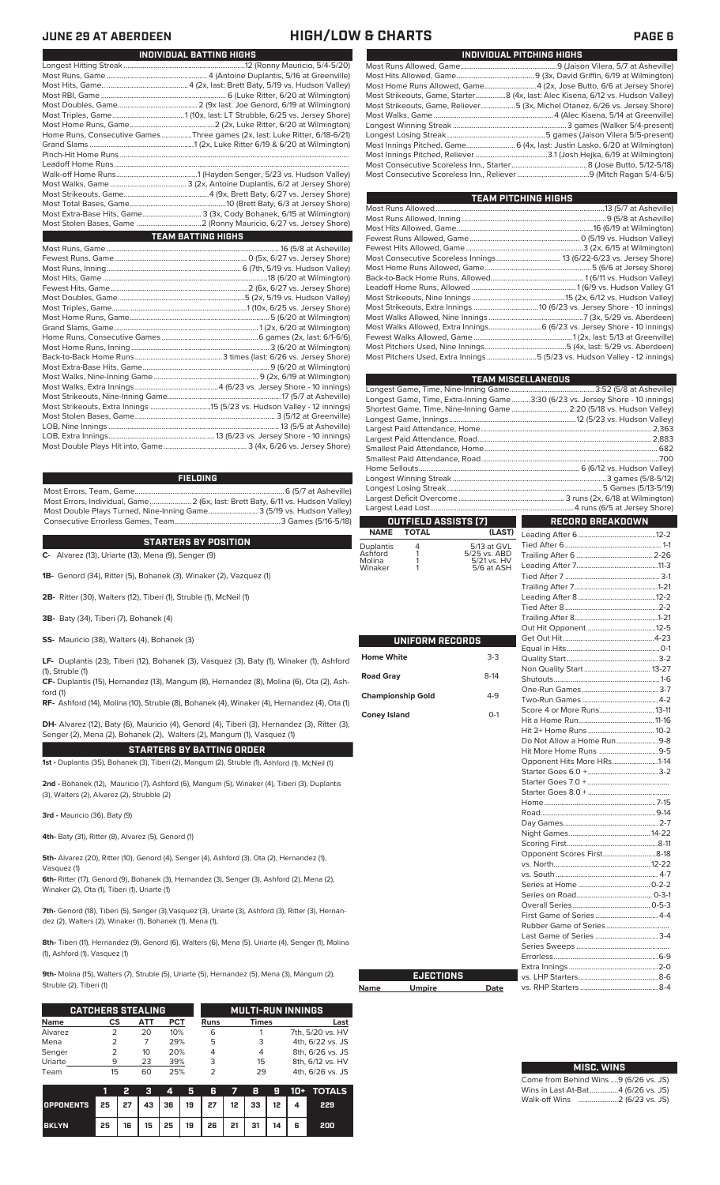### **JUNE 29 AT ABERDEEN HIGH/LOW & CHARTS PAGE 6**

| INDIVIDUAL PITCHING HIGHS                                                       |
|---------------------------------------------------------------------------------|
|                                                                                 |
|                                                                                 |
| Most Home Runs Allowed, Game4 (2x, Jose Butto, 6/6 at Jersey Shore)             |
| Most Strikeouts, Game, Starter8 (4x, last: Alec Kisena, 6/12 vs. Hudson Valley) |
| Most Strikeouts, Game, Reliever5 (3x, Michel Otanez, 6/26 vs. Jersey Shore)     |
|                                                                                 |
|                                                                                 |
|                                                                                 |
| Most Innings Pitched, Game 6 (4x, last: Justin Lasko, 6/20 at Wilmington)       |
|                                                                                 |
|                                                                                 |
|                                                                                 |
|                                                                                 |

| <b>TEAM PITCHING HIGHS</b>                                                |  |
|---------------------------------------------------------------------------|--|
|                                                                           |  |
|                                                                           |  |
|                                                                           |  |
|                                                                           |  |
|                                                                           |  |
|                                                                           |  |
|                                                                           |  |
|                                                                           |  |
|                                                                           |  |
|                                                                           |  |
|                                                                           |  |
|                                                                           |  |
|                                                                           |  |
|                                                                           |  |
|                                                                           |  |
| Most Pitchers Used, Extra Innings 5 (5/23 vs. Hudson Valley - 12 innings) |  |
|                                                                           |  |

|                          |                  |                             | <b>TEAM MISCELLANEOUS</b>                                                      |
|--------------------------|------------------|-----------------------------|--------------------------------------------------------------------------------|
|                          |                  |                             |                                                                                |
|                          |                  |                             | Longest Game, Time, Extra-Inning Game3:30 (6/23 vs. Jersey Shore - 10 innings) |
|                          |                  |                             | Shortest Game, Time, Nine-Inning Game  2:20 (5/18 vs. Hudson Valley)           |
|                          |                  |                             |                                                                                |
|                          |                  |                             |                                                                                |
|                          |                  |                             |                                                                                |
|                          |                  |                             |                                                                                |
|                          |                  |                             |                                                                                |
|                          |                  |                             |                                                                                |
|                          |                  |                             |                                                                                |
|                          |                  |                             |                                                                                |
|                          |                  |                             |                                                                                |
|                          |                  | OUTFIELD ASSISTS (7)        | <b>RECORD BREAKDOWN</b>                                                        |
| <b>NAME</b>              | <b>TOTAL</b>     | (LAST)                      |                                                                                |
|                          | 4                |                             |                                                                                |
| Duplantis<br>Ashford     | 1                | 5/13 at GVL<br>5/25 vs. ABD |                                                                                |
| Molina                   | 1<br>1           | 5/21 vs. HV<br>5/6 at ASH   |                                                                                |
| Winaker                  |                  |                             |                                                                                |
|                          |                  |                             |                                                                                |
|                          |                  |                             |                                                                                |
|                          |                  |                             |                                                                                |
|                          |                  |                             |                                                                                |
|                          |                  |                             |                                                                                |
|                          | UNIFORM RECORDS  |                             |                                                                                |
|                          |                  |                             |                                                                                |
| <b>Home White</b>        |                  | $3-3$                       |                                                                                |
|                          |                  |                             |                                                                                |
| <b>Road Gray</b>         |                  | $8-14$                      |                                                                                |
| <b>Championship Gold</b> |                  | $4 - 9$                     |                                                                                |
|                          |                  |                             |                                                                                |
| <b>Coney Island</b>      |                  | $O-1$                       | Score 4 or More Runs 13-11                                                     |
|                          |                  |                             |                                                                                |
|                          |                  |                             | Do Not Allow a Home Run9-8                                                     |
|                          |                  |                             |                                                                                |
|                          |                  |                             | Opponent Hits More HRs1-14                                                     |
|                          |                  |                             |                                                                                |
|                          |                  |                             |                                                                                |
|                          |                  |                             |                                                                                |
|                          |                  |                             |                                                                                |
|                          |                  |                             |                                                                                |
|                          |                  |                             |                                                                                |
|                          |                  |                             |                                                                                |
|                          |                  |                             |                                                                                |
|                          |                  |                             | Opponent Scores First8-18                                                      |
|                          |                  |                             |                                                                                |
|                          |                  |                             |                                                                                |
|                          |                  |                             |                                                                                |
|                          |                  |                             |                                                                                |
|                          |                  |                             | First Game of Series 4-4                                                       |
|                          |                  |                             |                                                                                |
|                          |                  |                             |                                                                                |
|                          |                  |                             |                                                                                |
|                          |                  |                             |                                                                                |
|                          |                  |                             |                                                                                |
|                          | <b>EJECTIONS</b> |                             |                                                                                |
| Name                     | <b>Umpire</b>    | Date                        |                                                                                |
|                          |                  |                             |                                                                                |

| <b>MISC, WINS</b> |                   |        |
|-------------------|-------------------|--------|
|                   | $\Omega$ $\Omega$ | $\sim$ |

| INDIVIDUAL BATTING HIGHS                                                    |
|-----------------------------------------------------------------------------|
|                                                                             |
|                                                                             |
|                                                                             |
|                                                                             |
|                                                                             |
|                                                                             |
|                                                                             |
| Home Runs, Consecutive Games Three games (2x, last: Luke Ritter, 6/18-6/21) |
|                                                                             |
|                                                                             |
|                                                                             |
|                                                                             |
|                                                                             |
|                                                                             |
|                                                                             |
| Most Extra-Base Hits, Game 3 (3x, Cody Bohanek, 6/15 at Wilmington)         |
|                                                                             |
| <b>TEAM BATTING HIGHS</b>                                                   |
|                                                                             |
|                                                                             |
|                                                                             |
|                                                                             |
|                                                                             |
|                                                                             |
|                                                                             |
|                                                                             |
|                                                                             |
|                                                                             |
|                                                                             |
|                                                                             |
|                                                                             |
|                                                                             |
|                                                                             |
|                                                                             |
|                                                                             |
|                                                                             |

### **FIELDING**

Most Errors, Team, Game...............................................................................6 (5/7 at Asheville) .<br>2 (6x, last: Brett Baty, 6/11 vs. Hudson Valley)<br>3 (5/19 vs. Hudson Valley) Most Double Plays Turned, Nine-Inning Game.......................... 3 (5/19 vs. Hudson Valley) Consecutive Errorless Games, Team.

LOB, Nine Innings .......................................................................................... 13 (5/5 at Asheville) LOB, Extra Innings........................................................13 (6/23 vs. Jersey Shore - 10 innings)

**STARTERS BY POSITION**

**C-** Alvarez (13), Uriarte (13), Mena (9), Senger (9)

**1B-** Genord (34), Ritter (5), Bohanek (3), Winaker (2), Vazquez (1)

**2B-** Ritter (30), Walters (12), Tiberi (1), Struble (1), McNeil (1)

**3B-** Baty (34), Tiberi (7), Bohanek (4)

Most Double Plays Hit into, Game...

**SS-** Mauricio (38), Walters (4), Bohanek (3)

**LF-** Duplantis (23), Tiberi (12), Bohanek (3), Vasquez (3), Baty (1), Winaker (1), Ashford (1), Struble (1)

**CF-** Duplantis (15), Hernandez (13), Mangum (8), Hernandez (8), Molina (6), Ota (2), Ashford (1)

**RF-** Ashford (14), Molina (10), Struble (8), Bohanek (4), Winaker (4), Hernandez (4), Ota (1)

**DH-** Alvarez (12), Baty (6), Mauricio (4), Genord (4), Tiberi (3), Hernandez (3), Ritter (3), Senger (2), Mena (2), Bohanek (2), Walters (2), Mangum (1), Vasquez (1)

**STARTERS BY BATTING ORDER 1st -** Duplantis (35), Bohanek (3), Tiberi (2), Mangum (2), Struble (1), Ashford (1), McNeil (1)

**2nd -** Bohanek (12), Mauricio (7), Ashford (6), Mangum (5), Winaker (4), Tiberi (3), Duplantis (3), Walters (2), Alvarez (2), Strubble (2)

**3rd -** Mauricio (36), Baty (9)

**4th-** Baty (31), Ritter (8), Alvarez (5), Genord (1)

**5th-** Alvarez (20), Ritter (10), Genord (4), Senger (4), Ashford (3), Ota (2), Hernandez (1), Vasquez (1)

**6th-** Ritter (17), Genord (9), Bohanek (3), Hernandez (3), Senger (3), Ashford (2), Mena (2), Winaker (2), Ota (1), Tiberi (1), Uriarte (1)

**7th-** Genord (18), Tiberi (5), Senger (3),Vasquez (3), Uriarte (3), Ashford (3), Ritter (3), Hernandez (2), Walters (2), Winaker (1), Bohanek (1), Mena (1),

**8th-** Tiberi (11), Hernandez (9), Genord (6), Walters (6), Mena (5), Uriarte (4), Senger (1), Molina (1), Ashford (1), Vasquez (1)

**9th-** Molina (15), Walters (7), Struble (5), Uriarte (5), Hernandez (5), Mena (3), Mangum (2), Struble (2), Tiberi (1)

**Name** 

Home \

|             | <b>CATCHERS STEALING</b> |     |            |      | <b>MULTI-RUN INNINGS</b> |                  |  |  |
|-------------|--------------------------|-----|------------|------|--------------------------|------------------|--|--|
| <b>Name</b> | CS                       | ATT | <b>PCT</b> | Runs | Times                    | Last             |  |  |
| Alvarez     |                          | 20  | 10%        | 6    |                          | 7th, 5/20 vs. HV |  |  |
| Mena        |                          |     | 29%        | 5    | 3                        | 4th, 6/22 vs. JS |  |  |
| Senger      |                          | 10  | 20%        |      | 4                        | 8th, 6/26 vs. JS |  |  |
| Uriarte     | q                        | 23  | 39%        | 3    | 15                       | 8th, 6/12 vs. HV |  |  |
| Team        | 15                       | 60  | 25%        |      | 29                       | 4th, 6/26 vs. JS |  |  |

|                                        |    | 2 |  |                                       |  |   | 3 4 5 6 7 8 9 10 + TOTALS |
|----------------------------------------|----|---|--|---------------------------------------|--|---|---------------------------|
| OPPONENTS 25 27 43 36 19 27 12 33 12 4 |    |   |  |                                       |  |   | 229                       |
| <b>BKLYN</b>                           | 25 |   |  | 16   15   25   19   26   21   31   14 |  | 6 | 200                       |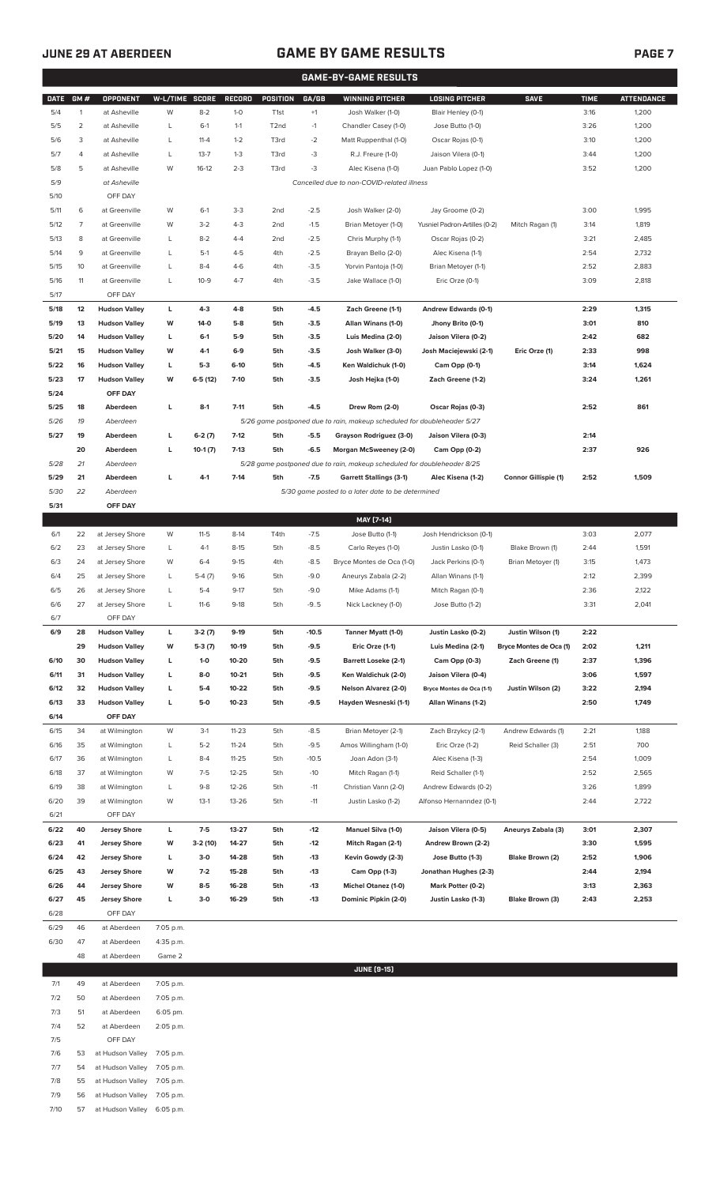## **JUNE 29 AT ABERDEEN GAME BY GAME RESULTS**

|--|

|             | <b>GAME-BY-GAME RESULTS</b> |                                              |                |                     |                 |                   |                 |                                                                         |                                         |                                              |              |                   |
|-------------|-----------------------------|----------------------------------------------|----------------|---------------------|-----------------|-------------------|-----------------|-------------------------------------------------------------------------|-----------------------------------------|----------------------------------------------|--------------|-------------------|
| <b>DATE</b> | GM#                         | OPPONENT                                     | W-L/TIME SCORE |                     | <b>RECORD</b>   | <b>POSITION</b>   | GA/GB           | <b>WINNING PITCHER</b>                                                  | <b>LOSING PITCHER</b>                   | <b>SAVE</b>                                  | <b>TIME</b>  | <b>ATTENDANCE</b> |
| 5/4         | 1                           | at Asheville                                 | W              | $8 - 2$             | $1-0$           | T <sub>1st</sub>  | $+1$            | Josh Walker (1-0)                                                       | Blair Henley (0-1)                      |                                              | 3:16         | 1,200             |
| 5/5         | $\overline{2}$              | at Asheville                                 | L              | $6-1$               | $1 - 1$         | T <sub>2</sub> nd | $-1$            | Chandler Casey (1-0)                                                    | Jose Butto (1-0)                        |                                              | 3:26         | 1,200             |
| 5/6         | 3                           | at Asheville                                 | L              | $11 - 4$            | $1 - 2$         | T3rd              | $-2$            | Matt Ruppenthal (1-0)                                                   | Oscar Rojas (0-1)                       |                                              | 3:10         | 1,200             |
| 5/7         | 4                           | at Asheville                                 | L              | $13 - 7$            | $1 - 3$         | T3rd              | -3              | R.J. Freure (1-0)                                                       | Jaison Vilera (0-1)                     |                                              | 3:44         | 1,200             |
| 5/8         | 5                           | at Asheville                                 | W              | $16-12$             | $2 - 3$         | T3rd              | $-3$            | Alec Kisena (1-0)                                                       | Juan Pablo Lopez (1-0)                  |                                              | 3:52         | 1,200             |
| 5/9         |                             | at Asheville                                 |                |                     |                 |                   |                 | Cancelled due to non-COVID-related illness                              |                                         |                                              |              |                   |
| 5/10        |                             | OFF DAY                                      |                |                     |                 |                   |                 |                                                                         |                                         |                                              |              |                   |
| 5/11        | 6                           | at Greenville                                | W              | $6-1$               | $3-3$           | 2 <sub>nd</sub>   | $-2.5$          | Josh Walker (2-0)                                                       | Jay Groome (0-2)                        |                                              | 3:00         | 1,995             |
| 5/12        | 7                           | at Greenville                                | W              | $3 - 2$             | $4 - 3$         | 2 <sub>nd</sub>   | $-1.5$          | Brian Metoyer (1-0)                                                     | Yusniel Padron-Artilles (0-2)           | Mitch Ragan (1)                              | 3:14         | 1,819             |
| 5/13        | 8                           | at Greenville                                | L              | $8 - 2$             | $4 - 4$         | 2 <sub>nd</sub>   | $-2.5$          | Chris Murphy (1-1)                                                      | Oscar Rojas (0-2)                       |                                              | 3:21         | 2,485             |
| 5/14        | 9                           | at Greenville                                | L              | $5-1$               | $4 - 5$         | 4th               | $-2.5$          | Brayan Bello (2-0)                                                      | Alec Kisena (1-1)                       |                                              | 2:54         | 2,732             |
| 5/15        | 10                          | at Greenville                                | L              | $8 - 4$             | $4 - 6$         | 4th               | $-3.5$          | Yorvin Pantoja (1-0)                                                    | Brian Metoyer (1-1)                     |                                              | 2:52         | 2,883             |
| 5/16        | 11                          | at Greenville                                | L              | $10-9$              | $4 - 7$         | 4th               | $-3.5$          | Jake Wallace (1-0)                                                      | Eric Orze (0-1)                         |                                              | 3:09         | 2,818             |
| 5/17        |                             | OFF DAY                                      |                |                     |                 |                   |                 |                                                                         |                                         |                                              |              |                   |
| 5/18        | 12                          | <b>Hudson Valley</b>                         | L              | $4-3$               | $4 - 8$         | 5th               | $-4.5$          | Zach Greene (1-1)                                                       | <b>Andrew Edwards (0-1)</b>             |                                              | 2:29         | 1,315             |
| 5/19        | 13                          | <b>Hudson Valley</b>                         | W              | 14-0                | $5-8$           | 5th               | $-3.5$          | Allan Winans (1-0)                                                      | Jhony Brito (0-1)                       |                                              | 3:01         | 810               |
| 5/20        | 14                          | <b>Hudson Valley</b>                         | L              | $6-1$               | 5-9             | 5th               | $-3.5$          | Luis Medina (2-0)                                                       | Jaison Vilera (0-2)                     |                                              | 2:42         | 682               |
| 5/21        | 15                          | <b>Hudson Valley</b>                         | W              | $4-1$               | $6-9$           | 5th               | $-3.5$          | Josh Walker (3-0)                                                       | Josh Maciejewski (2-1)                  | Eric Orze (1)                                | 2:33         | 998               |
| 5/22        | 16                          | <b>Hudson Valley</b>                         | L              | $5-3$               | $6-10$          | 5th               | -4.5            | Ken Waldichuk (1-0)                                                     | Cam Opp (0-1)                           |                                              | 3:14         | 1,624             |
| 5/23        | 17                          | <b>Hudson Valley</b>                         | W              | 6-5 (12)            | $7-10$          | 5th               | $-3.5$          | Josh Hejka (1-0)                                                        | Zach Greene (1-2)                       |                                              | 3:24         | 1,261             |
| 5/24        |                             | OFF DAY                                      |                |                     |                 |                   |                 |                                                                         |                                         |                                              |              |                   |
| 5/25        | 18                          | Aberdeen                                     | L              | $8-1$               | $7 - 11$        | 5th               | $-4.5$          | Drew Rom (2-0)                                                          | Oscar Rojas (0-3)                       |                                              | 2:52         | 861               |
| 5/26        | 19                          | Aberdeen                                     |                |                     |                 |                   |                 | 5/26 game postponed due to rain, makeup scheduled for doubleheader 5/27 |                                         |                                              |              |                   |
| 5/27        | 19                          | Aberdeen                                     | L              | $6-2(7)$            | $7-12$          | 5th               | $-5.5$          | Grayson Rodriguez (3-0)                                                 | Jaison Vilera (0-3)                     |                                              | 2:14         |                   |
|             | 20                          | Aberdeen                                     | L              | $10-1(7)$           | $7-13$          | 5th               | $-6.5$          | Morgan McSweeney (2-0)                                                  | Cam Opp (0-2)                           |                                              | 2:37         | 926               |
| 5/28        | 21                          | Aberdeen                                     |                |                     |                 |                   |                 | 5/28 game postponed due to rain, makeup scheduled for doubleheader 8/25 |                                         |                                              |              |                   |
| 5/29        | 21                          | Aberdeen                                     | L              | $4-1$               | $7-14$          | 5th               | $-7.5$          | <b>Garrett Stallings (3-1)</b>                                          | Alec Kisena (1-2)                       | <b>Connor Gillispie (1)</b>                  | 2:52         | 1,509             |
| 5/30        | 22                          | Aberdeen                                     |                |                     |                 |                   |                 | 5/30 game posted to a later date to be determined                       |                                         |                                              |              |                   |
| 5/31        |                             | OFF DAY                                      |                |                     |                 |                   |                 |                                                                         |                                         |                                              |              |                   |
|             |                             |                                              |                |                     |                 |                   |                 | MAY [7-14]                                                              |                                         |                                              |              |                   |
| 6/1         | 22                          | at Jersey Shore                              | W              | $11 - 5$            | $8-14$          | T4th              | $-7.5$          | Jose Butto (1-1)                                                        | Josh Hendrickson (0-1)                  |                                              | 3:03         | 2,077             |
| 6/2         | 23                          | at Jersey Shore                              | L              | $4-1$               | $8-15$          | 5th               | $-8.5$          | Carlo Reyes (1-0)                                                       | Justin Lasko (0-1)                      | Blake Brown (1)                              | 2:44         | 1,591             |
| 6/3         | 24                          | at Jersey Shore                              | W              | $6 - 4$             | $9-15$          | 4th               | $-8.5$          | Bryce Montes de Oca (1-0)                                               | Jack Perkins (0-1)                      | Brian Metoyer (1)                            | 3:15         | 1,473             |
| 6/4         | 25                          | at Jersey Shore                              | L              | $5-4(7)$            | $9-16$          | 5th               | $-9.0$          | Aneurys Zabala (2-2)                                                    | Allan Winans (1-1)                      |                                              | 2:12         | 2,399             |
| 6/5         | 26                          | at Jersey Shore                              | L              | $5-4$               | $9-17$          | 5th               | $-9.0$          | Mike Adams (1-1)                                                        | Mitch Ragan (0-1)                       |                                              | 2:36         | 2,122             |
| 6/6         | 27                          | at Jersey Shore                              | L              | $11-6$              | $9-18$          | 5th               | $-9.5$          | Nick Lackney (1-0)                                                      | Jose Butto (1-2)                        |                                              | 3:31         | 2,041             |
| 6/7         |                             | OFF DAY                                      |                |                     |                 |                   |                 |                                                                         |                                         |                                              |              |                   |
| 6/9         | 28<br>29                    | <b>Hudson Valley</b><br><b>Hudson Valley</b> | L<br>W         | $3-2(7)$            | $9-19$<br>10-19 | 5th<br>5th        | $-10.5$<br>-9.5 | Tanner Myatt (1-0)<br>Eric Orze (1-1)                                   | Justin Lasko (0-2)<br>Luis Medina (2-1) | Justin Wilson (1)<br>Bryce Montes de Oca (1) | 2:22<br>2:02 | 1,211             |
| 6/10        | 30                          | <b>Hudson Valley</b>                         | L              | $5-3(7)$<br>$1 - 0$ | 10-20           | 5th               | $-9.5$          | <b>Barrett Loseke (2-1)</b>                                             | Cam Opp (0-3)                           | Zach Greene (1)                              | 2:37         | 1,396             |
| 6/11        | 31                          | <b>Hudson Valley</b>                         | L              | $8-0$               | $10 - 21$       | 5th               | $-9.5$          | Ken Waldichuk (2-0)                                                     | Jaison Vilera (0-4)                     |                                              | 3:06         | 1,597             |
| 6/12        | 32                          | <b>Hudson Valley</b>                         | L              | $5-4$               | 10-22           | 5th               | $-9.5$          | Nelson Alvarez (2-0)                                                    | Bryce Montes de Oca (1-1)               | Justin Wilson (2)                            | 3:22         | 2,194             |
| 6/13        | 33                          | <b>Hudson Valley</b>                         | L              | $5-0$               | $10 - 23$       | 5th               | $-9.5$          | Hayden Wesneski (1-1)                                                   | Allan Winans (1-2)                      |                                              | 2:50         | 1,749             |
| 6/14        |                             | OFF DAY                                      |                |                     |                 |                   |                 |                                                                         |                                         |                                              |              |                   |
| 6/15        | 34                          | at Wilmington                                | W              | $3-1$               | $11 - 23$       | 5th               | $-8.5$          | Brian Metoyer (2-1)                                                     | Zach Brzykcy (2-1)                      | Andrew Edwards (1)                           | 2:21         | 1,188             |
| 6/16        | 35                          | at Wilmington                                | L              | $5 - 2$             | $11 - 24$       | 5th               | $-9.5$          | Amos Willingham (1-0)                                                   | Eric Orze (1-2)                         | Reid Schaller (3)                            | 2:51         | 700               |
| 6/17        | 36                          | at Wilmington                                | L              | $8 - 4$             | $11 - 25$       | 5th               | $-10.5$         | Joan Adon (3-1)                                                         | Alec Kisena (1-3)                       |                                              | 2:54         | 1,009             |
| 6/18        | 37                          | at Wilmington                                | W              | $7-5$               | $12 - 25$       | 5th               | $-10$           | Mitch Ragan (1-1)                                                       | Reid Schaller (1-1)                     |                                              | 2:52         | 2,565             |
| 6/19        | 38                          | at Wilmington                                | L              | $9 - 8$             | $12 - 26$       | 5th               | $-11$           | Christian Vann (2-0)                                                    | Andrew Edwards (0-2)                    |                                              | 3:26         | 1,899             |
| 6/20        | 39                          | at Wilmington                                | W              | $13-1$              | 13-26           | 5th               | $-11$           | Justin Lasko (1-2)                                                      | Alfonso Hernanndez (0-1)                |                                              | 2:44         | 2,722             |
| 6/21        |                             | OFF DAY                                      |                |                     |                 |                   |                 |                                                                         |                                         |                                              |              |                   |
| 6/22        | 40                          | <b>Jersey Shore</b>                          | L              | $7-5$               | $13 - 27$       | 5th               | $-12$           | Manuel Silva (1-0)                                                      | Jaison Vilera (0-5)                     | Aneurys Zabala (3)                           | 3:01         | 2,307             |
| 6/23        | 41                          | <b>Jersey Shore</b>                          | W              | 3-2 (10)            | 14-27           | 5th               | $-12$           | Mitch Ragan (2-1)                                                       | Andrew Brown (2-2)                      |                                              | 3:30         | 1,595             |
| 6/24        | 42                          | <b>Jersey Shore</b>                          | L              | $3-0$               | 14-28           | 5th               | $-13$           | Kevin Gowdy (2-3)                                                       | Jose Butto (1-3)                        | Blake Brown (2)                              | 2:52         | 1,906             |
| 6/25        | 43                          | <b>Jersey Shore</b>                          | W              | $7-2$               | 15-28           | 5th               | $-13$           | Cam Opp (1-3)                                                           | Jonathan Hughes (2-3)                   |                                              | 2:44         | 2,194             |
| 6/26        | 44                          | <b>Jersey Shore</b>                          | W              | $8 - 5$             | 16-28           | 5th               | $-13$           | Michel Otanez (1-0)                                                     | Mark Potter (0-2)                       |                                              | 3:13         | 2,363             |
| 6/27        | 45                          | <b>Jersey Shore</b>                          | г              | $3-0$               | 16-29           | 5th               | $-13$           | Dominic Pipkin (2-0)                                                    | Justin Lasko (1-3)                      | Blake Brown (3)                              | 2:43         | 2,253             |
| 6/28        |                             | OFF DAY                                      |                |                     |                 |                   |                 |                                                                         |                                         |                                              |              |                   |
| 6/29        | 46                          | at Aberdeen                                  | 7:05 p.m.      |                     |                 |                   |                 |                                                                         |                                         |                                              |              |                   |
| 6/30        | 47                          | at Aberdeen                                  | 4:35 p.m.      |                     |                 |                   |                 |                                                                         |                                         |                                              |              |                   |
|             | 48                          | at Aberdeen                                  | Game 2         |                     |                 |                   |                 |                                                                         |                                         |                                              |              |                   |
|             |                             |                                              |                |                     |                 |                   |                 | <b>JUNE [9-15]</b>                                                      |                                         |                                              |              |                   |
| 7/1         | 49                          | at Aberdeen                                  | 7:05 p.m.      |                     |                 |                   |                 |                                                                         |                                         |                                              |              |                   |
|             |                             |                                              |                |                     |                 |                   |                 |                                                                         |                                         |                                              |              |                   |

| $\cdots$ | --- | <u>ul Aveiucii</u>         | $1.00 \mu$  |
|----------|-----|----------------------------|-------------|
| 7/2      | 50  | at Aberdeen                | 7:05 p.m.   |
| 7/3      | 51  | at Aberdeen                | 6:05 pm.    |
| 7/4      | 52  | at Aberdeen                | 2:05 p.m.   |
| 7/5      |     | OFF DAY                    |             |
| 7/6      | 53  | at Hudson Valley 7:05 p.m. |             |
| 7/7      | 54  | at Hudson Valley 7:05 p.m. |             |
| 7/8      | 55  | at Hudson Valley 7:05 p.m. |             |
| 7/9      | 56  | at Hudson Valley 7:05 p.m. |             |
| 7/10     | 57  | at Hudson Valley           | $6:05$ p.m. |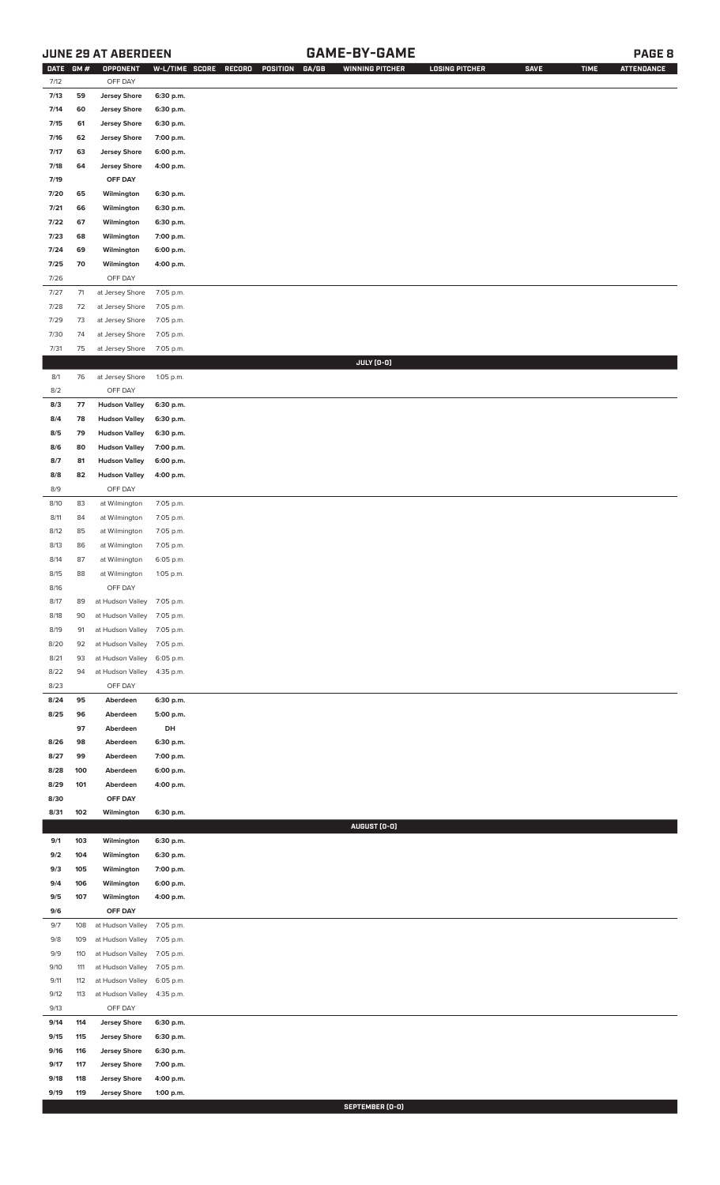### **JUNE 29 AT ABERDEEN GAME-BY-GAME PAGE 8**

| <b>DATE</b> | GM# | OPPONENT                   | W-L/TIME SCORE | RECORD<br>GA/GB<br>POSITION | <b>WINNING PITCHER</b> | <b>LOSING PITCHER</b> | <b>SAVE</b> | <b>TIME</b> | <b>ATTENDANCE</b> |
|-------------|-----|----------------------------|----------------|-----------------------------|------------------------|-----------------------|-------------|-------------|-------------------|
| 7/12        |     | OFF DAY                    |                |                             |                        |                       |             |             |                   |
| 7/13        | 59  | <b>Jersey Shore</b>        | 6:30 p.m.      |                             |                        |                       |             |             |                   |
|             |     |                            |                |                             |                        |                       |             |             |                   |
| 7/14        | 60  | <b>Jersey Shore</b>        | 6:30 p.m.      |                             |                        |                       |             |             |                   |
| 7/15        | 61  | <b>Jersey Shore</b>        | 6:30 p.m.      |                             |                        |                       |             |             |                   |
| 7/16        | 62  | <b>Jersey Shore</b>        | 7:00 p.m.      |                             |                        |                       |             |             |                   |
| 7/17        | 63  | <b>Jersey Shore</b>        | 6:00 p.m.      |                             |                        |                       |             |             |                   |
| 7/18        | 64  | <b>Jersey Shore</b>        | 4:00 p.m.      |                             |                        |                       |             |             |                   |
| 7/19        |     | OFF DAY                    |                |                             |                        |                       |             |             |                   |
| 7/20        | 65  |                            | 6:30 p.m.      |                             |                        |                       |             |             |                   |
|             |     | Wilmington                 |                |                             |                        |                       |             |             |                   |
| 7/21        | 66  | Wilmington                 | 6:30 p.m.      |                             |                        |                       |             |             |                   |
| 7/22        | 67  | Wilmington                 | 6:30 p.m.      |                             |                        |                       |             |             |                   |
| 7/23        | 68  | Wilmington                 | 7:00 p.m.      |                             |                        |                       |             |             |                   |
| 7/24        | 69  | Wilmington                 | 6:00 p.m.      |                             |                        |                       |             |             |                   |
| 7/25        | 70  | Wilmington                 | 4:00 p.m.      |                             |                        |                       |             |             |                   |
| 7/26        |     | OFF DAY                    |                |                             |                        |                       |             |             |                   |
| 7/27        | 71  | at Jersey Shore            | 7:05 p.m.      |                             |                        |                       |             |             |                   |
| $7/28$      | 72  | at Jersey Shore            | 7:05 p.m.      |                             |                        |                       |             |             |                   |
|             |     |                            |                |                             |                        |                       |             |             |                   |
| 7/29        | 73  | at Jersey Shore            | 7:05 p.m.      |                             |                        |                       |             |             |                   |
| 7/30        | 74  | at Jersey Shore            | 7:05 p.m.      |                             |                        |                       |             |             |                   |
| 7/31        | 75  | at Jersey Shore            | 7:05 p.m.      |                             |                        |                       |             |             |                   |
|             |     |                            |                |                             | JULY (0-0)             |                       |             |             |                   |
| 8/1         | 76  | at Jersey Shore            | 1:05 p.m.      |                             |                        |                       |             |             |                   |
| 8/2         |     | OFF DAY                    |                |                             |                        |                       |             |             |                   |
| 8/3         | 77  | <b>Hudson Valley</b>       | 6:30 p.m.      |                             |                        |                       |             |             |                   |
| 8/4         | 78  | <b>Hudson Valley</b>       | 6:30 p.m.      |                             |                        |                       |             |             |                   |
| 8/5         | 79  | <b>Hudson Valley</b>       | 6:30 p.m.      |                             |                        |                       |             |             |                   |
|             |     |                            |                |                             |                        |                       |             |             |                   |
| 8/6         | 80  | <b>Hudson Valley</b>       | 7:00 p.m.      |                             |                        |                       |             |             |                   |
| 8/7         | 81  | <b>Hudson Valley</b>       | 6:00 p.m.      |                             |                        |                       |             |             |                   |
| 8/8         | 82  | <b>Hudson Valley</b>       | 4:00 p.m.      |                             |                        |                       |             |             |                   |
| 8/9         |     | OFF DAY                    |                |                             |                        |                       |             |             |                   |
| 8/10        | 83  | at Wilmington              | 7:05 p.m.      |                             |                        |                       |             |             |                   |
| 8/11        | 84  | at Wilmington              | 7:05 p.m.      |                             |                        |                       |             |             |                   |
| 8/12        | 85  | at Wilmington              | 7:05 p.m.      |                             |                        |                       |             |             |                   |
| 8/13        | 86  | at Wilmington              | 7:05 p.m.      |                             |                        |                       |             |             |                   |
| 8/14        | 87  | at Wilmington              | 6:05 p.m.      |                             |                        |                       |             |             |                   |
| 8/15        | 88  | at Wilmington              | 1:05 p.m.      |                             |                        |                       |             |             |                   |
|             |     |                            |                |                             |                        |                       |             |             |                   |
| 8/16        |     | OFF DAY                    |                |                             |                        |                       |             |             |                   |
| 8/17        | 89  | at Hudson Valley 7:05 p.m. |                |                             |                        |                       |             |             |                   |
| 8/18        | 90  | at Hudson Valley           | 7:05 p.m.      |                             |                        |                       |             |             |                   |
| 8/19        | 91  | at Hudson Valley           | 7:05 p.m.      |                             |                        |                       |             |             |                   |
| 8/20        | 92  | at Hudson Valley           | 7:05 p.m.      |                             |                        |                       |             |             |                   |
| 8/21        | 93  | at Hudson Valley           | 6:05 p.m.      |                             |                        |                       |             |             |                   |
| 8/22        | 94  | at Hudson Valley           | 4:35 p.m.      |                             |                        |                       |             |             |                   |
| 8/23        |     | OFF DAY                    |                |                             |                        |                       |             |             |                   |
| 8/24        | 95  | Aberdeen                   | 6:30 p.m.      |                             |                        |                       |             |             |                   |
|             |     |                            |                |                             |                        |                       |             |             |                   |
| 8/25        | 96  | Aberdeen                   | 5:00 p.m.      |                             |                        |                       |             |             |                   |
|             | 97  | Aberdeen                   | DH             |                             |                        |                       |             |             |                   |
| 8/26        | 98  | Aberdeen                   | 6:30 p.m.      |                             |                        |                       |             |             |                   |
| 8/27        | 99  | Aberdeen                   | 7:00 p.m.      |                             |                        |                       |             |             |                   |
| 8/28        | 100 | Aberdeen                   | 6:00 p.m.      |                             |                        |                       |             |             |                   |
| 8/29        | 101 | Aberdeen                   | 4:00 p.m.      |                             |                        |                       |             |             |                   |
| 8/30        |     | OFF DAY                    |                |                             |                        |                       |             |             |                   |
| 8/31        | 102 | Wilmington                 | 6:30 p.m.      |                             |                        |                       |             |             |                   |
|             |     |                            |                |                             | AUGUST (0-0)           |                       |             |             |                   |
| 9/1         | 103 | Wilmington                 | 6:30 p.m.      |                             |                        |                       |             |             |                   |
| 9/2         | 104 | Wilmington                 | 6:30 p.m.      |                             |                        |                       |             |             |                   |
|             |     |                            |                |                             |                        |                       |             |             |                   |
| 9/3         | 105 | Wilmington                 | 7:00 p.m.      |                             |                        |                       |             |             |                   |
| 9/4         | 106 | Wilmington                 | 6:00 p.m.      |                             |                        |                       |             |             |                   |
| 9/5         | 107 | Wilmington                 | 4:00 p.m.      |                             |                        |                       |             |             |                   |
| 9/6         |     | OFF DAY                    |                |                             |                        |                       |             |             |                   |
| 9/7         | 108 | at Hudson Valley           | 7:05 p.m.      |                             |                        |                       |             |             |                   |
| 9/8         | 109 | at Hudson Valley           | 7:05 p.m.      |                             |                        |                       |             |             |                   |
| 9/9         | 110 | at Hudson Valley           | 7:05 p.m.      |                             |                        |                       |             |             |                   |
| 9/10        | 111 | at Hudson Valley           | 7:05 p.m.      |                             |                        |                       |             |             |                   |
| 9/11        | 112 | at Hudson Valley           | 6:05 p.m.      |                             |                        |                       |             |             |                   |
| 9/12        | 113 | at Hudson Valley           | 4:35 p.m.      |                             |                        |                       |             |             |                   |
| 9/13        |     | OFF DAY                    |                |                             |                        |                       |             |             |                   |
|             |     |                            |                |                             |                        |                       |             |             |                   |
| 9/14        | 114 | <b>Jersey Shore</b>        | 6:30 p.m.      |                             |                        |                       |             |             |                   |
| 9/15        | 115 | <b>Jersey Shore</b>        | 6:30 p.m.      |                             |                        |                       |             |             |                   |
| 9/16        | 116 | <b>Jersey Shore</b>        | 6:30 p.m.      |                             |                        |                       |             |             |                   |
| 9/17        | 117 | <b>Jersey Shore</b>        | 7:00 p.m.      |                             |                        |                       |             |             |                   |
| 9/18        | 118 | <b>Jersey Shore</b>        | 4:00 p.m.      |                             |                        |                       |             |             |                   |
| 9/19        | 119 | <b>Jersey Shore</b>        | 1:00 p.m.      |                             |                        |                       |             |             |                   |

**SEPTEMBER (0-0)**